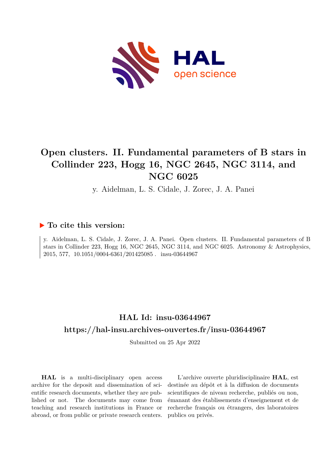

# **Open clusters. II. Fundamental parameters of B stars in Collinder 223, Hogg 16, NGC 2645, NGC 3114, and NGC 6025**

y. Aidelman, L. S. Cidale, J. Zorec, J. A. Panei

# **To cite this version:**

y. Aidelman, L. S. Cidale, J. Zorec, J. A. Panei. Open clusters. II. Fundamental parameters of B stars in Collinder 223, Hogg 16, NGC 2645, NGC 3114, and NGC 6025. Astronomy & Astrophysics, 2015, 577, 10.1051/0004-6361/201425085. insu-03644967

# **HAL Id: insu-03644967 <https://hal-insu.archives-ouvertes.fr/insu-03644967>**

Submitted on 25 Apr 2022

**HAL** is a multi-disciplinary open access archive for the deposit and dissemination of scientific research documents, whether they are published or not. The documents may come from teaching and research institutions in France or abroad, or from public or private research centers.

L'archive ouverte pluridisciplinaire **HAL**, est destinée au dépôt et à la diffusion de documents scientifiques de niveau recherche, publiés ou non, émanant des établissements d'enseignement et de recherche français ou étrangers, des laboratoires publics ou privés.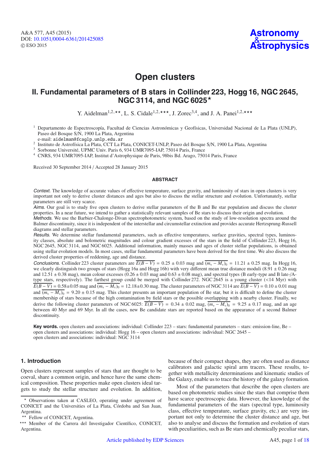A&A 577, A45 (2015) DOI: 10.1051/0004-6361/[201425085](http://dx.doi.org/10.1051/0004-6361/201425085) © ESO 2015

# **Open clusters**

# **II. Fundamental parameters of B stars in Collinder 223, Hogg 16, NGC 2645, NGC 3114, and NGC 6025**-

Y. Aidelman<sup>1,2,\*\*</sup>, L. S. Cidale<sup>1,2,\*\*\*</sup>, J. Zorec<sup>3,4</sup>, and J. A. Panei<sup>1,2,\*\*\*</sup>

<sup>1</sup> Departamento de Espectroscopía, Facultad de Ciencias Astronómicas y Geofísicas, Universidad Nacional de La Plata (UNLP), Paseo del Bosque S/N, 1900 La Plata, Argentina

e-mail: aidelman@fcaglp.unlp.edu.ar<br>
<sup>2</sup> Instituto de Astrofísica La Plata, CCT La Plata, CONICET-UNLP, Paseo del Bosque S/N, 1900 La Plata, Argentina<br>
<sup>3</sup> Sorbonne Université, UPMC Univ. Paris 6, 934 UMR7095-IAP, 75014 Pa

Received 30 September 2014 / Accepted 28 January 2015

### **ABSTRACT**

Context. The knowledge of accurate values of effective temperature, surface gravity, and luminosity of stars in open clusters is very important not only to derive cluster distances and ages but also to discuss the stellar structure and evolution. Unfortunately, stellar parameters are still very scarce.

Aims. Our goal is to study five open clusters to derive stellar parameters of the B and Be star population and discuss the cluster properties. In a near future, we intend to gather a statistically relevant samples of Be stars to discuss their origin and evolution.

Methods. We use the Barbier-Chalonge-Divan spectrophotometric system, based on the study of low-resolution spectra around the Balmer discontinuity, since it is independent of the interstellar and circumstellar extinction and provides accurate Hertzsprung-Russell diagrams and stellar parameters.

Results. We determine stellar fundamental parameters, such as effective temperatures, surface gravities, spectral types, luminosity classes, absolute and bolometric magnitudes and colour gradient excesses of the stars in the field of Collinder 223, Hogg 16, NGC 2645, NGC 3114, and NGC 6025. Additional information, mainly masses and ages of cluster stellar populations, is obtained using stellar evolution models. In most cases, stellar fundamental parameters have been derived for the first time. We also discuss the derived cluster properties of reddening, age and distance.

Conclusions. Collinder 223 cluster parameters are  $\overline{E(B-V)} = 0.25 \pm 0.03$  mag and  $\overline{(m_v - M_v)_0} = 11.21 \pm 0.25$  mag. In Hogg 16, we clearly distinguish two groups of stars (Hogg 16a and Hogg 16b) with very different mean true distance moduli (8.91  $\pm$  0.26 mag and  $12.51 \pm 0.38$  mag), mean colour excesses  $(0.26 \pm 0.03$  mag and  $0.63 \pm 0.08$  mag), and spectral types (B early-type and B late-/Atype stars, respectively). The farthest group could be merged with Collinder 272. NGC 2645 is a young cluster (<14 Myr) with  $\overline{E(B-V)}$  = 0.58±0.05 mag and  $\overline{(m_v - M_v)_0}$  = 12.18±0.30 mag. The cluster parameters of NGC 3114 are  $\overline{E(B-V)}$  = 0.10 ± 0.01 mag and  $(m_v - M_v)$ <sup>0</sup> = 9.20 ± 0.15 mag. This cluster presents an important population of Be star, but it is difficult to define the cluster membership of stars because of the high contamination by field stars or the possible overlapping with a nearby cluster. Finally, we derive the following cluster parameters of NGC 6025:  $\overline{E(B-V)} = 0.34 \pm 0.02$  mag,  $\overline{(m_v - M_v)_0} = 9.25 \pm 0.17$  mag, and an age between 40 Myr and 69 Myr. In all the cases, new Be candidate stars are reported based on the appearance of a second Balmer discontinuity.

**Key words.** open clusters and associations: individual: Collinder 223 – stars: fundamental parameters – stars: emission-line, Be – open clusters and associations: individual: Hogg 16 – open clusters and associations: individual: NGC 2645 – open clusters and associations: individual: NGC 3114

# **1. Introduction**

Open clusters represent samples of stars that are thought to be coeval, share a common origin, and hence have the same chemical composition. These properties make open clusters ideal targets to study the stellar structure and evolution. In addition, because of their compact shapes, they are often used as distance calibrators and galactic spiral arm tracers. These results, together with metallicity determinations and kinematic studies of the Galaxy, enable us to trace the history of the galaxy formation.

Most of the parameters that describe the open clusters are based on photometric studies since the stars that comprise them have scarce spectroscopic data. However, the knowledge of the fundamental parameters of the stars (spectral type, luminosity class, effective temperature, surface gravity, etc.) are very important not only to determine the cluster distance and age, but also to analyse and discuss the formation and evolution of stars with peculiarities, such as Be stars and chemically peculiar stars,

<sup>-</sup> Observations taken at CASLEO, operating under agreement of CONICET and the Universities of La Plata, Córdoba and San Juan, Argentina.

<sup>\*\*</sup> Fellow of CONICET, Argentina.

<sup>\*\*\*</sup> Member of the Carrera del Investigador Científico, CONICET, Argentina.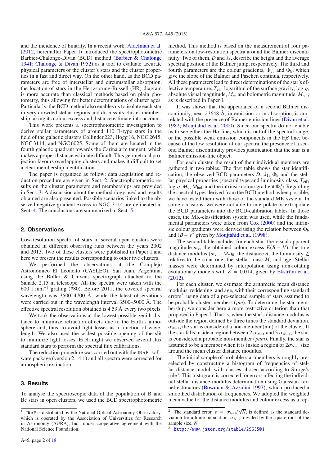and the incidence of binarity. In a recent work, Aidelman et al. (2012, hereinafter Paper I) introduced the spectrophotometric Barbier-Chalonge-Divan (BCD) method (Barbier & Chalonge 1941; Chalonge & Divan 1952) as a tool to evaluate accurate physical parameters of the cluster's stars and the cluster properties in a fast and direct way. On the other hand, as the BCD parameters are free of interstellar and circumstellar absorption, the location of stars in the Hertzsprung-Russell (HR) diagram is more accurate than classical methods based on plain photometry, thus allowing for better determinations of cluster ages. Particularly, the BCD method also enables us to isolate each star in very crowded stellar regions and discuss its cluster membership taking its colour excess and distance estimate into account.

This work presents a spectrophotometric investigation to derive stellar parameters of around 110 B-type stars in the field of the galactic clusters Collinder 223, Hogg 16, NGC 2645, NGC 3114, and NGC 6025. Some of them are located in the fourth galactic quadrant towards the Carina arm tangent, which makes a proper distance estimate difficult. This geometrical projection favours overlapping clusters and makes it difficult to set a clear membership identification.

The paper is organized as follow: data acquisition and reduction procedure are given in Sect. 2. Spectrophotometric results on the cluster parameters and memberships are provided in Sect. 3. A discussion about the methodology used and results obtained are also presented. Possible scenarios linked to the observed negative gradient excess in NGC 3114 are delineated in Sect. 4. The conclusions are summarized in Sect. 5.

#### **2. Observations**

Low-resolution spectra of stars in several open clusters were obtained in different observing runs between the years 2002 and 2013. Two of these clusters were published in Paper I and here we present the results corresponding to other five clusters.

We performed the observations at the Complejo Astronómico El Leoncito (CASLEO), San Juan, Argentina, using the Boller & Chivens spectrograph attached to the Sahade 2.15 m telescope. All the spectra were taken with the 600 l mm−<sup>1</sup> grating (#80). Before 2011, the covered spectral wavelength was 3500–4700 Å, while the latest observations were carried out in the wavelength interval 3500–5000 Å. The effective spectral resolution obtained is 4.53 Å every two pixels.

We took the observations at the lowest possible zenith distance to minimize refraction effects due to the Earth's atmosphere and, thus, to avoid light losses as a function of wavelength. We also used the widest possible opening of the slit to minimize light losses. Each night we observed several flux standard stars to perform the spectral flux calibrations.

The reduction procedure was carried out with the  $IRAF<sup>1</sup>$  software package (version 2.14.1) and all spectra were corrected for atmospheric extinction.

### **3. Results**

To analyse the spectroscopic data of the population of B and Be stars in open clusters, we used the BCD spectrophotometric method. This method is based on the measurement of four parameters on low-resolution spectra around the Balmer discontinuity. Two of them, *D* and  $\lambda_1$ , describe the height and the average spectral position of the Balmer jump, respectively. The third and fourth parameters are the colour gradients,  $\Phi_{uv}$  and  $\Phi_b$ , which give the slope of the Balmer and Paschen continua, respectively. All these parameters lead to direct determinations of the star's effective temperature,  $T_{\text{eff}}$ , logarithm of the surface gravity, log  $q$ , absolute visual magnitude,  $M_v$ , and bolometric magnitude,  $M_{bol}$ , as is described in Paper I.

It was shown that the appearance of a second Balmer discontinuity, near  $\lambda$ 3648 Å, in emission or in absorption, is correlated with the presence of Balmer emission lines (Divan et al. 1982; Moujtahid et al. 2000). Since our spectra do not enable us to see either the H $\alpha$  line, which is out of the spectral range, or the possible weak emission components in the  $H\beta$  line, because of the low resolution of our spectra, the presence of a second Balmer discontinuity provides justification that the star is a Balmer emission-line object.

For each cluster, the result of their individual members are gathered in two tables. The first table shows the star identification, the observed BCD parameters  $D$ ,  $\lambda_1$ ,  $\Phi_b$  and the stellar physical properties (spectral type and luminosity class, *T*<sup>e</sup>ff,  $\log g$ ,  $M_v$ ,  $M_{bol}$ , and the intrinsic colour gradient  $\Phi_0^0$ ). Regarding the spectral types derived from the BCD method, when possible the spectral types derived from the BCD method, when possible, we have tested them with those of the standard MK system. In some occasions, we were not able to interpolate or extrapolate the BCD parameters into the BCD-calibration tables. In those cases, the MK-classification system was used, while the fundamental parameters were taken from Cox (2000) and the intrinsic colour gradients were derived using the relation between  $\Phi_b$ and  $(B - V)$  given by Moujtahid et al. (1998).

The second table includes for each star: the visual apparent magnitude  $m_v$ , the obtained colour excess  $E(B - V)$ , the true distance modulus  $(m_v - M_v)_0$ , the distance *d*, the luminosity  $\mathcal{L}$ relative to the solar one, the stellar mass *M*, and age. Stellar masses were determined by interpolation using non-rotating evolutionary models with  $Z = 0.014$ , given by Ekström et al. (2012).

For each cluster, we estimate the arithmetic mean distance modulus, reddening, and age, with their corresponding standard  $\arccos^2$ , using data of a pre-selected sample of stars assumed to be probable cluster members (*pm*). To determine the star membership, we consider here a more restrictive criterion than that proposed in Paper I. That is, when the star's distance modulus is outside the region defined by three times the standard deviation,  $\sigma_{N-1}$ , the star is considered a non-member (nm) of the cluster. If the star falls inside a region between 2  $\sigma_{N-1}$  and 3  $\sigma_{N-1}$ , the star is considered a probable non-member (*pnm*). Finally, the star is assumed to be a member when it is inside a region of  $2\sigma_{N-1}$  size around the mean cluster distance modulus.

The initial sample of probable star members is roughly preselected by constructing a histogram of frequencies of stellar distance-moduli with classes chosen according to Sturge's rule<sup>3</sup>. This histogram is corrected for errors affecting the individual stellar distance-modulus determination using Gaussian kernel estimators (Bowman & Azzalini 1997), which produced a smoothed distribution of frequencies. We adopted the weighted mean value for the distance modulus and colour excess as a rep-

IRAF is distributed by the National Optical Astronomy Observatory, which is operated by the Association of Universities for Research in Astronomy (AURA), Inc., under cooperative agreement with the National Science Foundation.

<sup>&</sup>lt;sup>2</sup> The standard error,  $\epsilon = \sigma_{N-1}/\sqrt{N}$ , is defined as the standard deviation for a finite population  $\sigma_{N-1}$  divided by the square root of the viation for a finite population,  $\sigma_{N-1}$ , divided by the square root of the sample size, *N*.

<http://www.jstor.org/stable/2965501>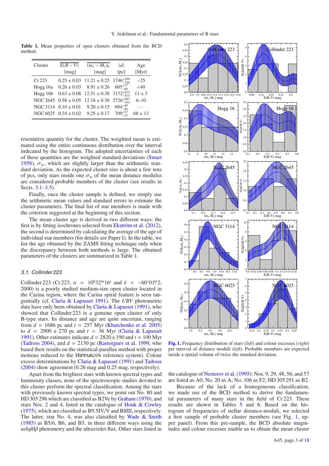**Table 1.** Mean properties of open clusters obtained from the BCD method.

| Cluster                       | $E(B-V)$                                                                                          | $(m_{v} - M_{v})_{0}$                                                                                                                                                                                                                                                  | $\langle d \rangle$ | Age                                                                      |
|-------------------------------|---------------------------------------------------------------------------------------------------|------------------------------------------------------------------------------------------------------------------------------------------------------------------------------------------------------------------------------------------------------------------------|---------------------|--------------------------------------------------------------------------|
|                               | $\lceil \text{mag} \rceil$                                                                        | $[\text{mag}]$                                                                                                                                                                                                                                                         | [pc]                | [Myr]                                                                    |
| Cr223<br>Hogg 16a<br>Hogg 16b | $0.63\pm0.08$<br>NGC 2645 $0.58 \pm 0.05$<br>NGC 3114 $0.10 \pm 0.01$<br>NGC 6025 $0.34 \pm 0.02$ | $0.25 \pm 0.03$ $11.21 \pm 0.25$ $1746_{-186}^{+209}$<br>$0.26 \pm 0.03$ $8.91 \pm 0.26$ $605^{+77}_{-69}$<br>$12.51 \pm 0.38$ 3172 <sup>+614</sup><br>$12.18 \pm 0.30$ $2726_{-354}^{+407}$<br>$9.20 \pm 0.15$ $694^{+49}_{-46}$<br>$9.25 \pm 0.17$ $709_{-53}^{+57}$ |                     | $\sim$ 25<br>$<$ 40<br>$11 \pm 3$<br>$6 - 10$<br>$\cdots$<br>$68 \pm 13$ |

resentative quantity for the cluster. The weighted mean is estimated using the entire continuous distribution over the interval indicated by the histogram. The adopted uncertainties of each of these quantities are the weighted standard deviations (Smart 1958),  $\sigma_w$ , which are slightly larger than the arithmetic standard deviation. As the expected cluster size is about a few tens of pcs, only stars inside one  $\sigma_w$  of the mean distance modulus are considered probable members of the cluster (see results in Sects. 3.1–3.5).

Finally, once the cluster sample is defined, we simply use the arithmetic mean values and standard errors to estimate the cluster parameters. The final list of star members is made with the criterion suggested at the beginning of this section.

The mean cluster age is derived in two different ways: the first is by fitting isochrones selected from Ekström et al. (2012), the second is determined by calculating the average of the age of individual star members (for details see Paper I). In the table, we list the age obtained by the ZAMS fitting technique only when the discrepancy between both methods is large. The obtained parameters of the clusters are summarized in Table 1.

#### 3.1. Collinder223

Collinder 223 (Cr 223,  $\alpha = 10^{h}32^{m}16^{s}$  and  $\delta = -60^{\circ}01^{m}2$ ;<br>2000) is a poorly studied medium-size open cluster located in 2000) is a poorly studied medium-size open cluster located in the Carina region, where the Carina spiral feature is seen tangentially (cf. Claria & Lapasset 1991). The *UBV* photometric data have only been obtained by Claria & Lapasset (1991), who showed that Collinder 223 is a genuine open cluster of only B-type stars. Its distance and age are quite uncertain, ranging from  $d = 1686$  pc and  $t = 257$  Myr (Kharchenko et al. 2005) to  $d = 2900 \pm 270$  pc and  $t = 36$  Myr (Claria & Lapasset 1991). Other estimates indicate  $d = 2820 \pm 190$  and  $t = 100$  Myr (Tadross 2004), and  $d = 2130$  pc (Rastorguev et al. 1999, who based their results on the statistical-parallax method with proper motions reduced to the Hipparcos reference system). Colour excess determinations by Claria & Lapasset (1991) and Tadross (2004) show agreement (0.26 mag and 0.25 mag, respectively).

Apart from the brightest stars with known spectral types and luminosity classes, none of the spectroscopic studies devoted to this cluster perform the spectral classification. Among the stars with previously known spectral types, we point out No. 80 and HD 305 296 which are classified as B2Ve by Graham (1970), and stars Nos. 2 and 4, listed in the catalogue of Houk & Cowley (1975), which are classified as B9.5IV/V and B8III, respectively. The latter, star No. 4, was also classified by Wade & Smith (1985) as B5/6, B6, and B3, in three different ways using the *<sup>u</sup>*v*b*yHβ photometry and the ultraviolet flux. Other stars listed in



**[Fig. 1.](http://dexter.edpsciences.org/applet.php?DOI=10.1051/0004-6361/201425085&pdf_id=1)** Frequency distribution of stars (*left*) and colour excesses (*right*) per interval of distance moduli (*left*). Probable members are expected inside a spatial volume of twice the standard deviation.

the catalogue of Nesterov et al. (1995): Nos. 9, 29, 48, 56, and 57 are listed as A0; No. 20 as A; No. 106 as F2; HD 305 291 as B2.

Because of the lack of a homogeneous classification, we made use of the BCD method to derive the fundamental parameters of many stars in the field of Cr 223. These results are shown in Tables 5 and 6. Based on the histogram of frequencies of stellar distance-moduli, we selected a first sample of probable cluster members (see Fig. 1, upper panel). From this pre-sample, the BCD absolute magnitudes and colour excesses enable us to obtain the mean cluster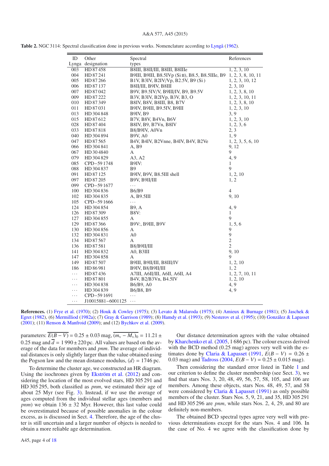#### A&A 577, A45 (2015)

| ID       | Other                 | Spectral                                                             | References        |
|----------|-----------------------|----------------------------------------------------------------------|-------------------|
|          | Lynga designation     | types                                                                |                   |
| 003      | HD 87458              | B8III, B8II/III, B8III, B8IIIe                                       | 1, 2, 3, 10       |
| 004      | HD 87 241             | B9III, B9III, B8.5IVp (Si II), B8.5, B8.5IIIe, B9 1, 2, 3, 8, 10, 11 |                   |
| 005      | HD 87 266             | B1V, B3IV, B2IV/Vp, B2.5V, B9 (Si)                                   | 1, 2, 3, 10, 12   |
| 006      | HD 87137              | B8II/III, B9IV, B8III                                                | 2, 3, 10          |
| 007      | HD 87042              | B9V, B9.5IV/V, B9III/IV, B9, B9.5V                                   | 1, 2, 3, 8, 10    |
| 009      | HD 87 222             | B3V, B3IV, B2IVp, B3V, B3, O                                         | 1, 2, 3, 10, 11   |
| 010      | HD 87349              | B8IV, B8V, B8III, B8, B7V                                            | 1, 2, 3, 8, 10    |
| 011      | HD 87031              | B9IV, B9III, B9.5IV, B9III                                           | 1, 2, 3, 10       |
| 013      | HD 304 848            | <b>B9IV, B9</b>                                                      | 3, 9              |
| 015      | HD 87612              | B7V, B8V, B4Vn, B6V                                                  | 1, 2, 3, 10       |
| 028      | HD 87404              | B8IV, B9, B7Vn, B8IV                                                 | 1, 2, 3, 6        |
| 033      | HD 87818              | B8/B9IV, A0Vn                                                        | 2, 3              |
| 040      | HD 304 894            | <b>B9V, A0</b>                                                       | 1, 9              |
| 047      | HD 87565              | B4V, B4IV, B2Vnne, B4IV, B4V, B2Ve                                   | 1, 2, 3, 5, 6, 10 |
| 066      | HD 304 841            | A, B9                                                                | 9, 12             |
| 067      | HD 304840             | А                                                                    | 9                 |
| 079      | HD 304 829            | A3, A2                                                               | 4, 9              |
| 085      | CPD-59 1748           | B9IV:                                                                | 1                 |
| 088      | HD 304 837            | B9                                                                   | 9                 |
| 091      | HD 87 125             | B9IV, B9V, B8.5III shell                                             | 1, 2, 10          |
| 097      | HD 87 205             | B9V, B9II/III                                                        | 1, 2              |
| 099      | CPD-591677            | $\ldots$                                                             |                   |
| 100      | HD 304 836            | <b>B6/B9</b>                                                         | $\overline{4}$    |
| 102      | HD 304 835            | A, B9.5III                                                           | 9,10              |
| 105      | CPD-59 1666           | $\ldots$                                                             |                   |
| 124      | HD 304 854            | <b>B9, A</b>                                                         | 4, 9              |
| 126      | HD 87309              | B8V:                                                                 | 1                 |
| 127      | HD 304 855            | А                                                                    | 9                 |
| 129      | HD 87366              | B9V:, B9III, B9V                                                     | 1, 5, 6           |
| 130      | HD 304 856            | А                                                                    | 9                 |
| 132      | HD 304 831            | A <sub>0</sub>                                                       | 9                 |
| 134      | HD 87567              | A                                                                    | $\overline{c}$    |
| 136      | HD 87 581             | B8/B9II/III                                                          | $\overline{2}$    |
| 141      | HD 304 832            | A0, B3III                                                            | 9,10              |
| 147      | HD 304 858            | А                                                                    | 9                 |
| 149      | HD 87507              | B9III, B9II/III, B8III/IV                                            | 1, 2, 10          |
| 186      | HD 86 981             | <b>B9IV, B8/B9II/III</b>                                             | 1, 2              |
| $\ldots$ | HD 87436              | A7III, A6II/III, A6II, A6II, A4                                      | 1, 2, 7, 10, 11   |
| $\cdots$ | HD 87 801             | B4V, B2/B3Vn, B4.5IV                                                 | 1, 2, 10          |
| $\cdots$ | HD 304 838            | B6/B9, A0                                                            | 4, 9              |
| $\cdots$ | HD 304 839            | B <sub>6</sub> /B <sub>8</sub> , B <sub>9</sub>                      | 4, 9              |
| $\cdots$ | CPD-59 1691           | $\ldots$                                                             |                   |
| .        | $110015881 - 6001125$ |                                                                      |                   |

**Table 2.** NGC 3114: Spectral classification done in previous works. Nomenclature according to Lyngå (1962).

**References.** (1) Frye et al. (1970); (2) Houk & Cowley (1975); (3) Levato & Malaroda (1975); (4) Amieux & Burnage (1981); (5) Jaschek & Egret (1982), (6) Mermilliod (1982a); (7) Gray & Garrison (1989); (8) Hamdy et al. (1993); (9) Nesterov et al. (1995); (10) González & Lapasset (2001); (11) Renson & Manfroid (2009); and (12) Bychkov et al. (2009).

parameters:  $\overline{E(B-V)} = 0.25 \pm 0.03$  mag,  $\overline{(m_v - M_v)_0} = 11.21 \pm$ 0.25 mag and  $\overline{d} = 1990 \pm 220$  pc. All values are based on the average of the data for members and *pnm*. The average of individual distances is only slightly larger than the value obtained using the Pogson law and the mean distance modulus,  $\langle d \rangle = 1746$  pc.

··· J10015881−6001125 ···

To determine the cluster age, we constructed an HR diagram. Using the isochrones given by Ekström et al. (2012) and considering the location of the most evolved stars, HD 305 291 and HD 305 295, both classified as *pnm*, we estimated their age of about 25 Myr (see Fig. 3). Instead, if we use the average of ages computed from the individual stellar ages (members and *pnm*) we obtain  $136 \pm 32$  Myr. However, this last value could be overestimated because of possible anomalies in the colour excess, as is discussed in Sect. 4. Therefore, the age of the cluster is still uncertain and a larger number of objects is needed to obtain a more reliable age determination.

Our distance determination agrees with the value obtained by Kharchenko et al. (2005, 1 686 pc). The colour excess derived with the BCD method (0.25 mag) agrees very well with the estimates done by Claria & Lapasset (1991,  $E(B - V) = 0.26 \pm 1$ 0.03 mag) and Tadross (2004,  $E(B - V) = 0.25 \pm 0.015$  mag).

Then considering the standard error listed in Table 1 and our criterion to define the cluster membership (see Sect. 3), we find that stars Nos. 3, 20, 48, 49, 56, 57, 58, 105, and 106 are members. Among these objects, stars Nos. 48, 49, 57, and 58 were considered by Claria & Lapasset (1991) as only possible members of the cluster. Stars Nos. 5, 9, 21, and 35, HD 305 291 and HD 305 296 are *pnm*, while stars Nos. 2, 4, 29, and 80 are definitely non-members.

The obtained BCD spectral types agree very well with previous determinations except for the stars Nos. 4 and 106. In the case of No. 4 we agree with the classification done by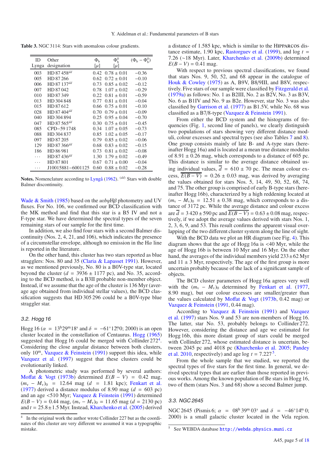**Table 3.** NGC 3114: Stars with anomalous colour gradients.

| ID<br>Lynga | Other<br>designation      | $\Phi_{\rm b}$<br>$[\mu]$ | $\Phi_b^0$<br>$[\mu]$ | $(\Phi_{\rm b}-\Phi_{\rm b}^0)$ |
|-------------|---------------------------|---------------------------|-----------------------|---------------------------------|
| 003         | $HD 87 458^{dd}$          | 0.42                      | $0.78 \pm 0.01$       | $-0.36$                         |
| 005         | HD 87 266                 | 0.62                      | $0.72 \pm 0.01$       | $-0.10$                         |
| 006         | $HD 87 137^{dd}$          | 0.73                      | $0.85 \pm 0.02$       | $-0.12$                         |
| 007         | HD 87042                  | 0.78                      | $1.07 \pm 0.02$       | $-0.29$                         |
| 010         | HD 87349                  | 0.22.                     | $0.81 \pm 0.01$       | $-0.59$                         |
| 013         | HD 304 848                | 0.77                      | $0.81 \pm 0.01$       | $-0.04$                         |
| 015         | HD 87612                  | 0.66                      | $0.75 \pm 0.01$       | $-0.10$                         |
| 028         | $HD 87 404$ <sup>dd</sup> | 0.70                      | $0.79 \pm 0.01$       | $-0.09$                         |
| 040         | HD 304 894                | 0.25                      | $0.95 \pm 0.04$       | $-0.70$                         |
| 047         | HD 87 565 <sup>dd</sup>   | 0.30                      | $0.75 \pm 0.01$       | $-0.45$                         |
| 085         | CPD-591748                | 0.34                      | $1.07 \pm 0.05$       | $-0.73$                         |
| 088         | HD 304 837                | 0.85                      | $1.02 \pm 0.05$       | $-0.17$                         |
| 097         | HD 87 205                 | 0.79                      | $0.85 \pm 0.02$       | $-0.06$                         |
| 129         | $HD 87 366^{dd}$          | 0.68                      | $0.83 \pm 0.02$       | $-0.15$                         |
| 186         | HD 86 981                 | 0.73                      | $0.81 \pm 0.02$       | $-0.08$                         |
| .           | $HD 87 436$ <sup>dd</sup> | 1.30                      | $1.79 \pm 0.02$       | $-0.49$                         |
|             | HD 87801                  | 0.67                      | $0.71 \pm 0.00$       | $-0.04$                         |
|             | J10015881-6001125         | 0.60                      | $0.88 \pm 0.02$       | $-0.28$                         |

Notes. Nomenclature according to Lyngå (1962). <sup>(*dd*)</sup> Stars with double Balmer discontinuity.

Wade & Smith (1985) based on the *<sup>u</sup>*v*b*yHβ photometry and UV fluxes. For No. 106, we confirmed our BCD classification with the MK method and find that this star is a B5 IV and not a F-type star. We have determined the spectral types of the seven remaining stars of our sample for the first time.

In addition, we also find four stars with a second Balmer discontinuity (Nos. 2, 4, 21, and 106), which indicates the presence of a circumstellar envelope, although no emission in the  $H\alpha$  line is reported in the literature.

On the other hand, this cluster has two stars reported as blue stragglers: Nos. 80 and 35 (Claria & Lapasset 1991). However, as we mentioned previously, No. 80 is a B0V-type star, located beyond the cluster ( $d = 3936 \pm 1177$  pc), and No. 35, according to the BCD method, is a B3II probable non-member object. Instead, if we assume that the age of the cluster is 136 Myr (average age obtained from individual stellar values), the BCD classification suggests that HD 305 296 could be a B0V-type blue straggler star.

#### 3.2. Hogg 16

Hogg 16 ( $\alpha = 13^{\text{h}}29^{\text{m}}18^{\text{s}}$  and  $\delta = -61^{\circ}12^{\text{m}}0$ ; 2000) is an open cluster located in the constellation of Centaurus. Hogg (1965) cluster located in the constellation of Centaurus. Hogg (1965) suggested that Hogg 16 could be merged with Collinder  $272<sup>4</sup>$ . Considering the close angular distance between both clusters, only  $10^{\text{m}}$ , Vazquez & Feinstein (1991) support this idea, while Vazquez et al. (1997) suggest that these clusters could be evolutionarily linked.

A photometric study was performed by several authors: Moffat & Vogt (1973b) determined *<sup>E</sup>*(*<sup>B</sup>* <sup>−</sup> *<sup>V</sup>*) <sup>=</sup> <sup>0</sup>.42 mag, (*m*<sup>v</sup> <sup>−</sup> *<sup>M</sup>*v)0 <sup>=</sup> <sup>12</sup>.64 mag (*<sup>d</sup>* <sup>=</sup> <sup>1</sup>.81 kpc); Fenkart et al. (1977) derived a distance modulus of 8.90 mag  $(d = 603 \text{ pc})$ and an age <510 Myr; Vazquez & Feinstein (1991) determined  $E(B - V) = 0.44$  mag,  $(m_v - M_v)_0 = 11.65$  mag (*d* = 2130 pc) and *<sup>t</sup>* <sup>=</sup> <sup>25</sup>.8±1.5 Myr. Instead, Kharchenko et al. (2005) derived a distance of 1.585 kpc, which is similar to the Hipparcos distance estimate, 1.90 kpc, Rastorguev et al. (1999), and  $log t =$ <sup>7</sup>.26 (∼18 Myr). Later, Kharchenko et al. (2009b) determined  $E(B - V) = 0.41$  mag.

With respect to previous spectral classifications, we found that stars Nos. 9, 50, 52, and 68 appear in the catalogue of Houk & Cowley (1975) as A, B9V, B8/9III, and B8V, respectively. Five stars of our sample were classified by Fitzgerald et al. (1979a) as follows: No. 1 as B2III, No. 2 as B2V, No. 3 as B3V, No. 6 as B1IV and No. 9 as B2e. However, star No. 3 was also classified by Garrison et al. (1977) as B1.5V, while No. 68 was classified as a B7/8-type (Vazquez & Feinstein 1991).

From either the BCD system and the histograms of frequencies (Fig. 1, second line of panels), we clearly distinguish two populations of stars showing very different distance moduli, colour excesses and spectral types (see also Tables 7 and 8). One group consists mainly of late B- and A-type stars (hereinafter Hogg 16a) and is located at a mean true distance modulus of  $8.91 \pm 0.26$  mag, which corresponds to a distance of 605 pc. This distance is similar to the average distance obtained using individual values,  $\overline{d}$  = 610 ± 70 pc. The mean colour excess,  $\overline{E(B-V)}$  = 0.26 ± 0.03 mag, was derived by averaging the values obtained for stars Nos. 5, 14, 49, 50, 52, 68, 74, and 75. The other group is comprised of early B-type stars (hereinafter Hogg 16b), characterized by a high reddening located at  $(m_v - M_v)_0 = 12.51 \pm 0.38$  mag, which corresponds to a distance of 3172 pc. While the average distance and colour excess are  $\overline{d} = 3.420 \pm 590$  pc and  $\overline{E(B-V)} = 0.63 \pm 0.08$  mag, respectively, if we adopt the average values derived with stars Nos. 1, 2, 3, 6, 9, and 53. This result confirms the apparent visual overlapping of the two different cluster system along the line of sight.

With the BCD data we plot an HR diagram (see Fig. 4). This diagram shows that the age of Hogg 16a is <40 Myr, while the age of Hogg 16b is between 10 Myr and 16 Myr. On the other hand, the averages of the individual members yield  $233 \pm 62$  Myr and  $11 \pm 3$  Myr, respectively. The age of the first group is more uncertain probably because of the lack of a significant sample of objects.

The BCD cluster parameters of Hogg 16a agrees very well with the  $(m_v - M_v)$ <sup>0</sup> determined by Fenkart et al. (1977, <sup>8</sup>.90 mag), but our colour excesses are smaller/greater than the values calculated by Moffat  $& V$  Vogt (1973b, 0.42 mag) or Vazquez & Feinstein (1991, 0.44 mag).

According to Vazquez & Feinstein (1991) and Vazquez et al. (1997) stars Nos. 9 and 53 are non-members of Hogg 16. The latter, star No. 53, probably belongs to Collinder 272. However, considering the distance and age we estimated for Hogg 16b, this more distant group of stars could be merged with Collinder 272, whose estimated distance is uncertain, between 2045 pc and 4018 pc (Kharchenko et al. 2005; Pandey et al. 2010, respectively) and age log  $t = 7.227^5$ .

From the whole sample that we studied, we reported the spectral types of five stars for the first time. In general, we derived spectral types that are earlier than those reported in previous works. Among the known population of Be stars in Hogg 16, two of them (stars Nos. 3 and 68) show a second Balmer jump.

#### 3.3. NGC 2645

NGC 2645 (Pismis 6;  $\alpha = 08^{\text{h}} 39^{\text{m}} 03^{\text{s}}$  and  $\delta = -46^{\circ} 14^{\text{m}}$  0;<br>2000) is a small galactic cluster located in the Vela region 2000) is a small galactic cluster located in the Vela region.

<sup>&</sup>lt;sup>4</sup> In the original work the author wrote Collinder 227 but as the coordinates of this cluster are very different we assumed it was a typographic mistake.

<sup>5</sup> See WEBDA database <http://webda.physics.muni.cz>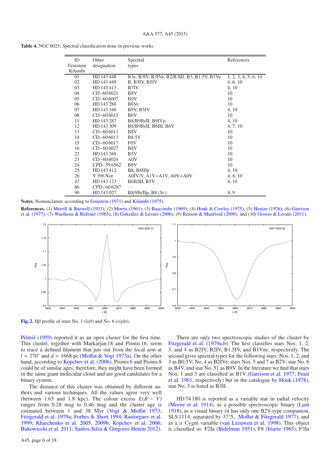| ID        | Other         | Spectral                                    | References           |
|-----------|---------------|---------------------------------------------|----------------------|
| Feinstein | designation   | types                                       |                      |
| Kilambi   |               |                                             |                      |
| 01        | HD 143 448    | B3e, B3IV, B3IVe, B2/B3III, B3, B1.5V, B1Ve | 1, 2, 3, 4, 5, 6, 10 |
| 02        | HD 143 449    | B, B5IV, B5IV                               | 4, 6, 10             |
| 03        | HD 143413     | B7IV                                        | 4, 10                |
| 04        | $CD - 606021$ | B8V                                         | 10                   |
| 05        | $CD - 606007$ | B9V                                         | 10                   |
| 06        | HD 143 288    | B6Ve                                        | 10                   |
| 07        | HD 143 340    | B9V, B5IV                                   | 4, 10                |
| 08        | $CD - 606015$ | B <sub>6</sub> V                            | 10                   |
| 11        | HD 143 287    | B8/B9Ib/II, B9IVp                           | 4, 10                |
| 12        | HD 143 309    | B8/B9Ib/II, B6III, B6V                      | 4, 7, 10             |
| 13        | $CD - 606011$ | B8V                                         | 10                   |
| 14        | $CD - 606013$ | <b>B8.5V</b>                                | 10                   |
| 15        | CD-606017     | <b>FOV</b>                                  | 10                   |
| 16        | CD-606027     | B8V                                         | 10                   |
| 22        | HD 143 388    | B5V                                         | 10                   |
| 23        | CD-606024     | A0V                                         | 10                   |
| 24        | CPD-596562    | B <sub>9</sub> V                            | 10                   |
| 25        | HD 143412     | B8, B8IIIp                                  | 4, 10                |
| 26        | V 396 Nor     | A0IV/V, A1V+A1V, A0V+A0V                    | 4, 8, 10             |
| 43        | HD 143 123    | B6II/III, B5V                               | 4, 10                |
| 86        | CPD-606287    | .                                           |                      |
| 90        | HD 143 027    | B8/9Ib/IIp, B8(Si)                          | 4, 9                 |

**Table 4.** NGC 6025: Spectral classification done in previous works.

**Notes.** Nomenclature according to Feinstein (1971) and Kilambi (1975).

**References.** (1) Merrill & Burwell (1933); (2) Morris (1961); (3) Buscombe (1969); (4) Houk & Cowley (1975); (5) Henize (1976); (6) Garrison et al. (1977); (7) Waelkens & Rufener (1985); (8) González & Levato (2006); (9) Renson & Manfroid (2009); and (10) Grosso & Levato (2011).



**[Fig. 2.](http://dexter.edpsciences.org/applet.php?DOI=10.1051/0004-6361/201425085&pdf_id=2)** <sup>H</sup>β profile of stars No. 1 (*left*) and No. 6 (*right*).

Pišmiš (1959) reported it as an open cluster for the first time. This cluster, together with Markarjan 18 and Pismis 16, seem to trace a defined filament that juts out from the local arm at  $l = 270^\circ$  and  $d = 1668$  pc (Moffat & Vogt 1973a). On the other hand, according to Kopchev et al. (2006), Pismis 6 and Pismis 8 could be of similar ages, therefore, they might have been formed in the same giant molecular cloud and are good candidates for a binary system.

The distance of this cluster was obtained by different authors and various techniques. All the values agree very well (between 1.65 and 1.8 kpc). The colour excess  $E(B - V)$ ranges from 0.28 mag to 0.46 mag and the cluster age is estimated between 1 and 38 Myr (Vogt & Moffat 1973; Fitzgerald et al. 1979a; Forbes & Short 1994; Rastorguev et al. 1999; Kharchenko et al. 2005, 2009b; Kopchev et al. 2006; Bukowiecki et al. 2011; Santos-Silva & Gregorio-Hetem 2012).

There are only two spectroscopic studies of the cluster by Fitzgerald et al. (1979a,b). The first classifies stars Nos. 1, 2, 3, and 4 as B2IV, B2IV, B1.5IV, and B1Vne, respectively. The second gives spectral types for the following stars: Nos. 1, 2, and 3 as B0.5V; No. 4 as B2IVe; stars Nos. 5 and 7 as B2V; star No. 6 as B4V, and star No. 51 as B9V. In the literature we find that stars Nos. 1 and 3 are classified as B1V (Garrison et al. 1977; Feast et al. 1961, respectively) but in the catalogue by Houk (1978), star No. 3 is listed as B3II.

HD 74 180 is reported as a variable star in radial velocity (Moore et al. 1914), as a possible spectroscopic binary (Lunt 1918), as a visual binary (it has only one B2V-type companion, SLS 1114, separated by 37<sup>8</sup>.5, Moffat & Fitzgerald 1977), and as a  $\alpha$  Cygni variable (van Leeuwen et al. 1998). This object as a α Cygni variable (van Leeuwen et al. 1998). This object is classified as: F2Ia (Bidelman 1951), F8 (Iriarte 1965), F3Ia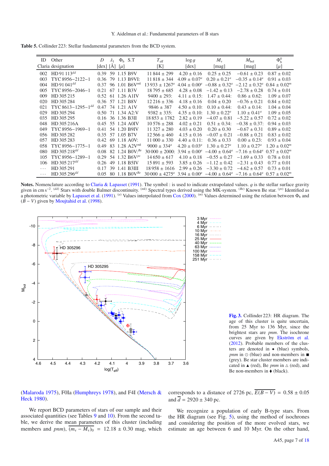**Table 5.** Collinder 223: Stellar fundamental parameters from the BCD system.

| ID       | Other                         | D             | $\lambda_1$ | $\Phi_b$ S.T                          | $T_{\rm eff}$            | $\log g$                   | $M_{\rm v}$                           | $M_{\rm bol}$            | $\Phi_{\rm b}^0$  |
|----------|-------------------------------|---------------|-------------|---------------------------------------|--------------------------|----------------------------|---------------------------------------|--------------------------|-------------------|
|          | Claria designation            | $[dex] [\AA]$ |             | $[\mu]$                               | [K]                      | $\lceil \text{dex} \rceil$ | [mag]                                 | [mag]                    | $[\mu]$           |
| 002      | HD 91 113 <sup>dd</sup>       | 0.39          |             | 59 1.15 B9V                           | $11844 \pm 299$          | $4.20 \pm 0.16$            | $0.25 \pm 0.25$                       | $-0.61 \pm 0.23$         | $0.87 \pm 0.02$   |
| 003      | TYC 8956-2122-1               | 0.36          | 79          | 1.13 B9VI:                            | $11818 \pm 344$          | $4.09 \pm 0.07^a$          | $0.20 \pm 0.21^{\circ}$               | $-0.35 \pm 0.14^{\circ}$ | $0.91 \pm 0.03$   |
| 004      | HD 91 041 <sup>dd</sup>       | 0.37          | 96          | $1.01 B6V^{mk}$                       | $13933 \pm 1267^{\circ}$ | $4.04 \pm 0.00^a$          | $-0.88 \pm 0.32^{\circ}$              | $-2.12 \pm 0.32^{\circ}$ | $0.84 \pm 0.02^m$ |
| 005      | TYC 8956-2046-1               | 0.21          | 67          | 1.11 B3V                              | $18795 \pm 685$          | $4.28 \pm 0.08$            | $-1.42 \pm 0.13$                      | $-2.78 \pm 0.28$         | $0.74 \pm 0.01$   |
| 009      | HD 305 215                    | 0.52          | -61         | 1.26 A1IV                             | $9400 \pm 293$ :         | $4.11 \pm 0.15$ :          | $1.47 \pm 0.44$ :                     | $0.86 \pm 0.62$          | $1.09 \pm 0.07$   |
| 020      | HD 305 284                    | 0.36          | 57          | 1.21 B8V                              | $12216 \pm 336$          | $4.18 \pm 0.16$            | $0.04 \pm 0.20$                       | $-0.76 \pm 0.21$         | $0.84 \pm 0.02$   |
| 021      | TYC 8613-1295-1 <sup>dd</sup> | 0.47          | 74          | 1.21 A1V                              | $9846 \pm 387$           | $4.50 \pm 0.10$ :          | $0.10 \pm 0.44$                       | $0.43 \pm 0.14$          | $1.04 \pm 0.04$   |
| 029      | HD 305 294                    | 0.50          | 71          | 1.34 A2:V                             | $9382 \pm 335$ :         | $4.35 \pm 0.10$ :          | $1.30 \pm 0.22^{\circ}$               | $1.10 \pm 0.41^a$        | $1.09 \pm 0.05$   |
| 035      | HD 305 295                    | 0.16          | 36          | 1.36 B3II                             | $18853 \pm 1782$         | $2.82 \pm 0.19$            | $-4.07 \pm 0.81$                      | $-5.22 \pm 0.57$         | $0.72 \pm 0.02$   |
| 048      | HD 305 216A                   | 0.45          | 55          | 1.24 A0IV                             | $10576 \pm 288$          | $4.02 \pm 0.21$            | $0.51 \pm 0.34$                       | $-0.38 \pm 0.37$ :       | $0.94 \pm 0.03$   |
| 049      | TYC 8956-1969-1               | 0.41          | 54          | 1.20 B9IV                             | $11327 \pm 280$          | $4.03 \pm 0.20$            | $0.20 \pm 0.30$                       | $-0.67 \pm 0.31$         | $0.89 \pm 0.02$   |
| 056      | HD 305 282                    | 0.35          | 57          | 1.05 B7V                              | $12,566 \pm 460$         | $4.15 \pm 0.16$            | $-0.07 \pm 0.21$                      | $-0.88 \pm 0.21$         | $0.83 \pm 0.02$   |
| 057      | HD 305 283                    | 0.42          | 69          | 1.18 A0V:                             | $11000 \pm 330$          | $4.40 \pm 0.11$ :          | $0.36 \pm 0.33$                       | $0.00 \pm 0.23$ :        | $0.93 \pm 0.04$   |
| 058      | TYC 8956-1775-1               | 0.49          | 83          | $1.28$ A2V <sup><math>mk</math></sup> | $9000 \pm 334^{\circ}$   | $4.20 \pm 0.03^{\circ}$    | $1.30 \pm 0.27^a$                     | $1.10 \pm 0.27^a$        | $1.20 \pm 0.02^m$ |
| 080      | HD 305 218 <sup>dd</sup>      | 0.08          | 82          | 1.24 B0V: <sup>Be</sup>               | $30000 \pm 2000$         | $3.94 \pm 0.00^a$          | $-4.00 \pm 0.64^a$                    | $-7.16 \pm 0.64^{\circ}$ | $0.57 \pm 0.02^m$ |
| 105      | TYC 8956-1289-1               | 0.29          | 54          | 1.32 $B6V^{pv}$                       | $14650 \pm 617$          | $4.10 \pm 0.18$            | $-0.55 \pm 0.27$                      | $-1.69 \pm 0.33$         | $0.78 \pm 0.01$   |
| 106      | HD 305 217 <sup>dd</sup>      | 0.26          | 49          | 1.18 B5IV                             | $15891 \pm 593$          | $3.85 \pm 0.26$            | $-1.12 \pm 0.42$                      | $-2.31 \pm 0.43$         | $0.77 \pm 0.01$   |
| $\cdots$ | HD 305 291                    | 0.17          | 39          | 1.41 B3III                            | $18958 \pm 1616$         | $2.99 \pm 0.26$            | $-3.30 \pm 0.72$                      | $-4.62 \pm 0.57$         | $0.73 \pm 0.01$   |
| $\cdots$ | HD 305 296 <sup>dd</sup>      | 0.05          |             | 80 1.18 BOV <sup>Be</sup>             | $30000 \pm 4275^{\circ}$ | $3.94 \pm 0.00^a$          | $-4.00 \pm 0.64^a$ $-7.16 \pm 0.64^a$ |                          | $0.57 \pm 0.02^m$ |

**Notes.** Nomenclature according to Claria & Lapasset (1991). The symbol : is used to indicate extrapolated values. *g* is the stellar surface gravity given in cm s<sup>-2</sup>. <sup>(dd)</sup> Stars with double Balmer discontinuity. <sup>(mk)</sup> a photometric variable by Lapasset et al. (1991). (*a*) Values interpolated from Cox (2000). (*m*) Values determined using the relation between Φ<sup>b</sup> and (*B* − *V*) given by Moujtahid et al. (1998).



**[Fig. 3.](http://dexter.edpsciences.org/applet.php?DOI=10.1051/0004-6361/201425085&pdf_id=3)** Collinder 223: HR diagram. The age of this cluster is quite uncertain, from 25 Myr to 136 Myr, since the brightest stars are *pnm*. The isochrone curves are given by Ekström et al. (2012). Probable members of the clusters are denoted in • (blue) symbols, *pnm* in  $\odot$  (blue) and non-members in (grey). Be star cluster members are indicated in  $\triangle$  (red), Be *pnm* in  $\triangle$  (red), and Be non-members in  $\blacklozenge$  (black).

#### (Malaroda 1975), F0Ia (Humphreys 1978), and F4I (Mersch & Heck 1980).

corresponds to a distance of 2726 pc,  $\overline{E(B-V)} = 0.58 \pm 0.05$ and  $\overline{d}$  = 2920 ± 340 pc.

We report BCD parameters of stars of our sample and their associated quantities (see Tables 9 and 10). From the second table, we derive the mean parameters of this cluster (including members and *pnm*),  $\overline{(m_v - M_v)_0}$  = 12.18 ± 0.30 mag, which

We recognize a population of early B-type stars. From the HR diagram (see Fig. 5), using the method of isochrones and considering the position of the more evolved stars, we estimate an age between 6 and 10 Myr. On the other hand,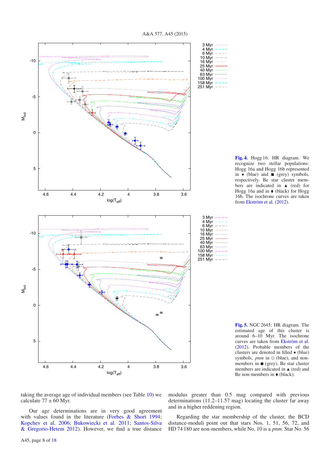

**[Fig. 4.](http://dexter.edpsciences.org/applet.php?DOI=10.1051/0004-6361/201425085&pdf_id=4)** Hogg 16: HR diagram. We recognize two stellar populations: Hogg 16a and Hogg 16b represented in  $\bullet$  (blue) and  $\blacksquare$  (grey) symbols, respectively. Be star cluster members are indicated in  $\triangle$  (red) for Hogg 16a and in  $\triangle$  (black) for Hogg 16b. The isochrone curves are taken from Ekström et al. (2012).

**[Fig. 5.](http://dexter.edpsciences.org/applet.php?DOI=10.1051/0004-6361/201425085&pdf_id=5)** NGC 2645: HR diagram. The estimated age of this cluster is around  $6-10$  Myr. The isochrone curves are taken from Ekström et al. (2012). Probable members of the clusters are denoted in filled • (blue) symbols, *pnm* in  $\odot$  (blue), and nonmembers in  $\blacksquare$  (grey). Be star cluster members are indicated in  $\triangle$  (red) and Be non-members in  $\blacklozenge$  (black).

taking the average age of individual members (see Table 10) we calculate  $77 \pm 60$  Myr.

Our age determinations are in very good agreement with values found in the literature (Forbes & Short 1994; Kopchev et al. 2006; Bukowiecki et al. 2011; Santos-Silva & Gregorio-Hetem 2012). However, we find a true distance modulus greater than 0.5 mag compared with previous determinations (11.2–11.57 mag) locating the cluster far away and in a higher reddening region.

**Seconda** 

ar ar an

Regarding the star membership of the cluster, the BCD distance-moduli point out that stars Nos. 1, 51, 56, 72, and HD 74 180 are non-members, while No. 10 is a *pnm*. Star No. 56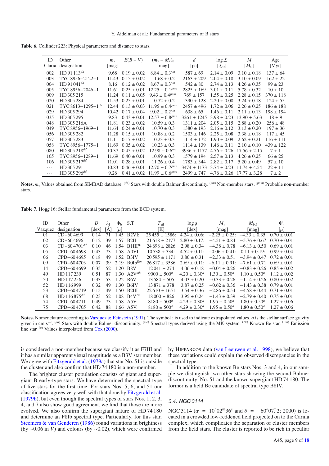**Table 6.** Collinder 223: Physical parameters and distance to stars.

| ID<br>Claria | Other<br>designation          | $m_{\rm v}$ | $E(B-V)$        | $(m_{v} - M_{v})_{0}$ | $\boldsymbol{d}$ | $\log L$<br>$[\mathcal{L}_\odot]$ | M                | Age<br>[Myr]  |
|--------------|-------------------------------|-------------|-----------------|-----------------------|------------------|-----------------------------------|------------------|---------------|
|              |                               | [mag]       |                 | [mag]                 | [pc]             |                                   | $[M_{\odot}]$    |               |
| 002          | HD 91 113 <sup>dd</sup>       | 9.68        | $0.19 \pm 0.02$ | $8.84 \pm 0.3^{nm}$   | $587 \pm 69$     | $2.14 \pm 0.09$                   | $3.10 \pm 0.18$  | $137 \pm 64$  |
| 003          | TYC8956-2122-1                | 11.43       | $0.15 \pm 0.02$ | $11.68 \pm 0.2$       | $2163 \pm 209$   | $2.04 \pm 0.18$                   | $3.10 \pm 0.09$  | $162 \pm 22$  |
| 004          | HD 91 041 <sup>dd</sup>       | 8.16        | $0.12 \pm 0.02$ | $8.67 \pm 0.3^{nm}$   | $542 \pm 80$     | $2.74 \pm 0.13$                   | $4.26 \pm 0.35$  | $99 \pm 23$   |
| 005          | TYC8956-2046-1                | 11.61       | $0.25 \pm 0.01$ | $12.25 \pm 0.1^{pnm}$ | $2825 \pm 169$   | $3.01 \pm 0.11$                   | $5.78 \pm 0.32$  | $10 \pm 10$   |
| 009          | HD 305 215                    | 11.24       | $0.11 \pm 0.05$ | $9.43 \pm 0.4^{pnm}$  | $769 \pm 157$    | $1.55 \pm 0.25$                   | $2.28 \pm 0.15$  | $370 \pm 118$ |
| 020          | HD 305 284                    | 11.53       | $0.25 \pm 0.01$ | $10.72 \pm 0.2$       | $1390 \pm 128$   | $2.20 \pm 0.08$                   | $3.24 \pm 0.18$  | $124 \pm 55$  |
| 021          | TYC 8613-1295-1 <sup>dd</sup> | 12.44       | $0.13 \pm 0.03$ | $11.95 \pm 0.4^{pnm}$ | $2457 \pm 496$   | $1.72 \pm 0.06$                   | $2.26 \pm 0.25$  | $186 \pm 188$ |
| 029          | HD 305 294                    | 10.42       | $0.17 \pm 0.04$ | $9.02 \pm 0.2^{nm}$   | $638 \pm 65$     | $1.46 \pm 0.11$                   | $2.11 \pm 0.13$  | $198 \pm 194$ |
| 035          | HD 305 295                    | 9.83        | $0.43 \pm 0.01$ | $12.57 \pm 0.8^{pnm}$ | $3261 \pm 1245$  | $3.98 \pm 0.23$                   | $13.90 \pm 5.63$ | $18 \pm 9$    |
| 048          | HD 305 216A                   | 11.81       | $0.23 \pm 0.02$ | $10.59 \pm 0.3$       | $1311 \pm 204$   | $2.05 \pm 0.15$                   | $2.88 \pm 0.20$  | $256 \pm 48$  |
| 049          | TYC8956-1969-1                | 11.64       | $0.24 \pm 0.01$ | $10.70 \pm 0.3$       | $1380 \pm 193$   | $2.16 \pm 0.12$                   | $3.13 \pm 0.20$  | $197 \pm 36$  |
| 056          | HD 305 282                    | 11.28       | $0.15 \pm 0.01$ | $10.88 \pm 0.2$       | $1503 \pm 146$   | $2.25 \pm 0.08$                   | $3.38 \pm 0.18$  | $117 \pm 45$  |
| 057          | HD 305 283                    | 11.11       | $0.17 \pm 0.02$ | $10.23 \pm 0.3$       | $1114 \pm 172$   | $1.90 \pm 0.09$                   | $2.62 \pm 0.21$  | $116 \pm 111$ |
| 058          | TYC 8956-1775-1               | 11.69       | $0.05 \pm 0.02$ | $10.23 \pm 0.3$       | $1114 \pm 139$   | $1.46 \pm 0.11$                   | $2.10 \pm 0.10$  | $439 \pm 122$ |
| 080          | HD 305 218 <sup>dd</sup>      | 10.37       | $0.45 \pm 0.02$ | $12.98 \pm 0.6^{nm}$  | $3936 \pm 1177$  | $4.76 \pm 0.26$                   | $17.56 \pm 2.15$ | $7 \pm 1$     |
| 105          | TYC 8956-1289-1               | 11.69       | $0.40 \pm 0.01$ | $10.99 \pm 0.3$       | $1579 \pm 194$   | $2.57 \pm 0.13$                   | $4.26 \pm 0.25$  | $66 \pm 25$   |
| 106          | HD 305 217 <sup>dd</sup>      | 11.01       | $0.28 \pm 0.01$ | $11.26 \pm 0.4$       | $1783 \pm 344$   | $2.82 \pm 0.17$                   | $5.20 \pm 0.49$  | $57 \pm 10$   |
| $\cdots$     | HD 305 291                    | 10.83       | $0.46 \pm 0.01$ | $12.70 \pm 0.7^{pnm}$ | $3474 \pm 1173$  | $3.74 \pm 0.23$                   | $11.74 \pm 4.54$ | $22 \pm 11$   |
| $\cdots$     | $HD$ 305 296 <sup>dd</sup>    | 9.26        | $0.41 \pm 0.02$ | $11.99 \pm 0.6^{pnm}$ | $2499 \pm 747$   | $4.76 \pm 0.26$                   | $17.77 \pm 3.28$ | $7 \pm 2$     |

**Notes.** *m*<sup>v</sup> Values obtained from SIMBAD database. (*dd*) Stars with double Balmer discontinuity. (*nm*) Non-member stars. (*pnm*) Probable non-member stars.

**Table 7.** Hogg 16: Stellar fundamental parameters from the BCD system.

| ID       | Other                       | D                          | $\lambda_1$ | $\Phi_{h}$ | S.T               | $T_{\rm eff}$      | $\log g$          | $M_{\rm v}$        | $M_{\rm bol}$                      | $\Phi_b^0$      |
|----------|-----------------------------|----------------------------|-------------|------------|-------------------|--------------------|-------------------|--------------------|------------------------------------|-----------------|
| Vázquez  | designation                 | $\lceil \text{dex} \rceil$ | [A]         | $[\mu]$    |                   | [K]                | [dex]             | mag                | [mag]                              | $[\mu]$         |
| $\Omega$ | CD-604699                   | 0.14                       |             | .45        | B2VI:             | $25455 \pm 1586$ : | $4.24 \pm 0.06$   | $-2.25 \pm 0.25$   | $-4.33 \pm 0.35$ ; $0.70 \pm 0.01$ |                 |
| 02       | $CD - 604696$               | 0.12                       | 39          | 1.57       | B2II              | $21618 \pm 2177$   | $2.80 \pm 0.17$ : | $-4.51 \pm 0.84$   | $-5.76 \pm 0.67$                   | $0.70 \pm 0.01$ |
| 03       | $CD - 604701$ <sup>dd</sup> | 0.10                       | 46          | 1.54       | $B1III^{Be}$      | $24698 \pm 2826$   | $2.98 \pm 0.34$   | $-4.38 \pm 0.78$   | $-6.13 \pm 0.50$                   | $0.69 \pm 0.01$ |
| 05       | CPD-604698                  | 0.43                       | 73          | 1.58       | $A0VI$ :          | $10.538 \pm 334$ : | $4.52 \pm 0.11$ : | $-0.06 \pm 0.41$ : | $0.11 \pm 0.19$ :                  | $0.99 \pm 0.04$ |
| 06       | CPD-604695                  | 0.18                       | 49          | 1.52       | B <sub>3</sub> IV | $20.595 \pm 1171$  | $3.80 \pm 0.31$   | $-2.33 \pm 0.51$   | $-3.94 \pm 0.47$                   | $0.72 \pm 0.01$ |
| 09       | $CPD-604703$                | 0.07                       | 39          | 2.19       | $B0Ib^{Em}$       | $26817 \pm 3586$   | $2.69 \pm 0.11$ : | $-6.11 \pm 0.91$ : | $-7.61 \pm 0.71$                   | $0.69 + 0.01$   |
| 14       | CPD-604699                  | 0.35                       | 52          | 1.20       | B8V               | $12.041 \pm 274$   | $4.06 \pm 0.18$   | $-0.04 \pm 0.26$   | $-0.83 \pm 0.26$                   | $0.85 \pm 0.02$ |
| 49       | HD 117 239                  | 0.51                       | 87          | 1.30       | $A2V^{mk}$        | $9000 \pm 500^a$   | $4.20 \pm 0.30^a$ | $1.30 \pm 0.50^a$  | $1.10 \pm 0.50^a$                  | $1.12 \pm 0.02$ |
| 50       | HD 117256                   | 0.33                       | 53          | 1.22       | B <sub>6</sub> V  | $13584 \pm 505$    | $4.03 \pm 0.20$   | $-0.33 \pm 0.26$   | $-1.14 \pm 0.26$                   | $0.80 \pm 0.02$ |
| 52       | HD 116999                   | 0.32                       | 49          | 1.30       | B <sub>6</sub> IV | $13.871 \pm 378$   | $3.87 \pm 0.25$   | $-0.62 \pm 0.36$   | $-1.43 \pm 0.38$                   | $0.79 \pm 0.01$ |
| 53       | CPD-604719                  | 0.15                       | 49          | 1.50       | B <sub>2III</sub> | $22610 \pm 1651$   | $3.54 \pm 0.36$   | $-2.86 \pm 0.54$   | $-4.58 \pm 0.44$                   | $0.71 + 0.01$   |
| 68       | $HD$ 116 875 <sup>dd</sup>  | 0.23                       | 52          | 1.08       | $B4V^{Be}$        | $18000 \pm 826$    | $3.95 \pm 0.24$   | $-1.43 \pm 0.39$   | $-2.79 \pm 0.40$                   | $0.75 \pm 0.01$ |
| 74       | CPD-604711                  | 0.49                       | 73          | 1.58       | A5V:              | $8180 \pm 500^a$   | $4.29 \pm 0.30^a$ | $1.95 \pm 0.50^a$  | $1.80 \pm 0.50^a$                  | $1.27 \pm 0.06$ |
| 75       | CPD-604705                  | 0.42                       | 88          | 1.66       | A5V:              | $8180 \pm 500^a$   | $4.29 \pm 0.30^a$ | $1.95 \pm 0.50^a$  | $1.80 \pm 0.50^a$                  | $1.27 \pm 0.06$ |

**Notes.** Nomenclature according to Vazquez & Feinstein (1991). The symbol : is used to indicate extrapolated values.  $g$  is the stellar surface gravity given in cm s<sup>−2</sup>. (*dd*) Stars with double Balmer discontinuity. <sup>(*mk*)</sup> Spectral types derived using the MK-system. <sup>(*Be*)</sup> Known Be star. <sup>(*Em*)</sup> Emission line star. <sup>(a)</sup> Values interpolated from Cox (2000).

is considered a non-member because we classify it as F7III and it has a similar apparent visual magnitude as a B3V star member. We agree with Fitzgerald et al. (1979a) that star No. 51 is outside the cluster and also confirm that HD 74 180 is a non-member.

The brighter cluster population consists of giant and supergiant B early-type stars. We have determined the spectral type of five stars for the first time. For stars Nos. 5, 6, and 51 our classification agrees very well with that done by Fitzgerald et al. (1979b), but even though the spectral types of stars Nos. 1, 2, 3, 4, and 7 also show good agreement, we find that those are more evolved. We also confirm the supergiant nature of HD 74 180 and determine an F8Ib spectral type. Particularly, for this star, Steemers & van Genderen (1986) found variations in brightness (by ∼0.06 in *V*) and colours (by ∼0.02), which were confirmed by Hipparcos data (van Leeuwen et al. 1998), we believe that these variations could explain the observed discrepancies in the spectral type.

In addition to the known Be stars Nos. 3 and 4, in our sample we distinguish two other stars showing the second Balmer discontinuity: No. 51 and the known supergiant HD 74 180. The former is a field Be candidate of spectral type B8IV.

#### 3.4. NGC 3114

NGC 3114 ( $\alpha = 10^{\text{h}}02^{\text{m}}36^{\text{s}}$  and  $\delta = -60^{\circ}07^{\text{m}}2$ ; 2000) is located in a crowded low-reddened field projected on to the Carina cated in a crowded low-reddened field projected on to the Carina complex, which complicates the separation of cluster members from the field stars. The cluster is reported to be rich in peculiar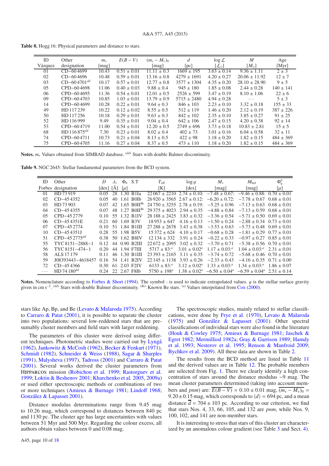| ID      | Other                    | $m_{v}$ | $E(B-V)$        | $(m_{v} - M_{v})_{0}$ | d               | $\log L$              | M                 | Age           |
|---------|--------------------------|---------|-----------------|-----------------------|-----------------|-----------------------|-------------------|---------------|
| Vázquez | designation              | [mag]   |                 | [mag]                 | [pc]            | $[\mathcal{L}_\odot]$ | $[M_{\odot}]$     | [Myr]         |
| 01      | $CD - 604699$            | 10.43   | $0.51 \pm 0.01$ | $11.11 \pm 0.3$       | $1669 \pm 195$  | $3.63 \pm 0.14$       | $9.36 \pm 1.11$   | $2 \pm 3$     |
| 02      | $CD - 604696$            | 10.48   | $0.59 \pm 0.01$ | $13.16 \pm 0.8$       | $4279 \pm 1691$ | $4.20 \pm 0.27$       | $20.06 \pm 11.92$ | $12 \pm 7$    |
| 03      | $CD - 604701^{dd}$       | 10.17   | $0.57 \pm 0.01$ | $12.77 \pm 0.8$       | $3577 \pm 1304$ | $4.35 \pm 0.20$       | $28.10 \pm 28.90$ | $9 \pm 5$     |
| 05      | CPD-604698               | 11.06   | $0.40 \pm 0.03$ | $9.88 \pm 0.4$        | $945 \pm 180$   | $1.85 \pm 0.08$       | $2.44 \pm 0.28$   | $140 \pm 141$ |
| 06      | CPD-604695               | 11.36   | $0.54 \pm 0.01$ | $12.01 \pm 0.5$       | $2526 \pm 599$  | $3.47 \pm 0.19$       | $8.10 \pm 1.06$   | $22 \pm 6$    |
| 09      | CPD-604703               | 10.85   | $1.03 \pm 0.01$ | $13.79 \pm 0.9$       | $5715 \pm 2480$ | $4.94 \pm 0.28$       | $\cdots$          | $5 \pm 3$     |
| 14      | CPD-604699               | 10.28   | $0.22 \pm 0.01$ | $9.64 \pm 0.3$        | $846 \pm 103$   | $2.23 \pm 0.10$       | $3.32 \pm 0.18$   | $155 \pm 33$  |
| 49      | HD 117239                | 10.22   | $0.12 \pm 0.02$ | $8.55 \pm 0.5$        | $512 \pm 119$   | $1.46 \pm 0.20$       | $2.12 \pm 0.19$   | $387 \pm 226$ |
| 50      | HD 117 256               | 10.18   | $0.29 \pm 0.01$ | $9.63 \pm 0.3$        | $842 \pm 102$   | $2.35 \pm 0.10$       | $3.85 \pm 0.27$   | $91 \pm 25$   |
| 52      | HD 116999                | 9.49    | $0.35 \pm 0.01$ | $9.04 \pm 0.4$        | $642 \pm 106$   | $2.47 \pm 0.15$       | $4.20 \pm 0.38$   | $92 \pm 14$   |
| 53      | CPD-604719               | 11.00   | $0.54 \pm 0.01$ | $12.20 \pm 0.5$       | $2749 \pm 696$  | $3.73 \pm 0.18$       | $10.83 \pm 2.81$  | $15 \pm 5$    |
| 68      | HD 116 875 <sup>dd</sup> | 7.30    | $0.23 \pm 0.01$ | $8.02 \pm 0.4$        | $402 \pm 73$    | $3.01 \pm 0.16$       | $6.04 \pm 0.58$   | $32 \pm 11$   |
| 74      | CPD-604711               | 10.73   | $0.21 \pm 0.04$ | $8.13 \pm 0.5$        | $422 \pm 98$    | $1.18 \pm 0.20$       | $1.82 \pm 0.15$   | $484 \pm 369$ |
| 75      | CPD-604705               | 11.16   | $0.27 \pm 0.04$ | $8.37 \pm 0.5$        | $473 \pm 110$   | $1.18 \pm 0.20$       | $1.82 \pm 0.15$   | $484 \pm 369$ |

**Table 8.** Hogg 16: Physical parameters and distance to stars.

Notes.  $m_v$  Values obtained from SIMBAD database. <sup>(dd)</sup> Stars with double Balmer discontinuity.

| ID            | Other              | D                                                   | $\lambda_1$ | $\Phi_{\rm b}$ S.T |                               | $T_{\rm eff}$                                         | $\log g$                | $M_{\rm v}$                                           | $M_{\rm bol}$                                         | $\Phi_b^0$      |
|---------------|--------------------|-----------------------------------------------------|-------------|--------------------|-------------------------------|-------------------------------------------------------|-------------------------|-------------------------------------------------------|-------------------------------------------------------|-----------------|
|               | Forbes designation | $\lceil \text{dex} \rceil$ $\lceil \text{A} \rceil$ |             | $[\mu]$            |                               | [K]                                                   | [dex]                   | [mag]                                                 | [mag]                                                 | $[\mu]$         |
| $\Omega$      | HD 73919           | 0.05                                                | 28          | 1.30               | B <sub>1</sub> I <sub>a</sub> |                                                       |                         | $22067 \pm 2210$ $2.74 \pm 0.10$ : $-7.48 \pm 0.67$ : | $-9.46 \pm 0.88$ ; $0.70 \pm 0.01$                    |                 |
| 02            | $CD-454352$        | 0.05                                                | 40          | 1.61               | <b>B0Ib</b>                   | $26920 \pm 3565$ $2.67 \pm 0.12$ ; $-6.20 \pm 0.72$ ; |                         |                                                       | $-7.78 \pm 0.67$                                      | $0.68 \pm 0.01$ |
| 03            | HD 73 903          | 0.07                                                |             |                    | 42 1.65 BOII <sup>Be</sup>    | $24\,750 \pm 3255$ $2.78 \pm 0.19$                    |                         | $-5.25 \pm 0.96$                                      | $-7.13 \pm 0.63$ $0.68 \pm 0.01$                      |                 |
| 04            | $CD-454355$        | 0.07                                                |             |                    | 48 1.27 BOII <sup>Be</sup>    | $29375 \pm 4023$ $2.94 \pm 0.35$                      |                         | $-4.88 \pm 0.84$                                      | $-7.13 \pm 0.59$ $0.68 \pm 0.01$                      |                 |
| $0.5^{\circ}$ | CPD-45 2779        | 0.10                                                |             |                    | 55 1.32 B1IV                  | $28188 \pm 2425$ $3.83 \pm 0.32$                      |                         | $-3.36 \pm 0.54$                                      | $-5.71 \pm 0.50$ $0.69 \pm 0.01$                      |                 |
| 06            | CD-454351E         | 0.21                                                | 60.         | 1.69 B3V           |                               | $18953 \pm 647$                                       | $4.16 \pm 0.13$         | $-1.50 \pm 0.24$                                      | $-2.88 \pm 0.34$ 0.73 $\pm$ 0.01                      |                 |
| 07            | CPD-452774         | 0.10                                                | 51          |                    | 1.84 B1III                    | $27\,288 \pm 2678$ 3.43 $\pm$ 0.38                    |                         | $-3.53 \pm 0.63$                                      | $-5.73 \pm 0.48$ 0.69 $\pm$ 0.01                      |                 |
| 10            | $CD-454351J$       | 0.28                                                |             | 55 1.98 B5V        |                               | $15.372 \pm 624$                                      | $4.10 \pm 0.17$         | $-0.68 \pm 0.28$                                      | $-1.81 \pm 0.29$ 0.77 $\pm$ 0.01                      |                 |
| 51            | $CPD-452775^{dd}$  | 0.38                                                | 50.         |                    | 1.62 B8IV                     | $12134 \pm 332$                                       | $3.91 \pm 0.24$         | $-0.22 \pm 0.33$                                      | $-0.97 \pm 0.27$ $0.85 \pm 0.01$                      |                 |
| 55            | TYC8151-2888-1     | 0.12                                                | 44          |                    | $0.90$ B2III                  | $22672 \pm 2095$ $3.02 \pm 0.32$                      |                         | $-3.70 \pm 0.71$                                      | $-5.38 \pm 0.56$ 0.70 $\pm$ 0.01                      |                 |
| 56            | TYC8151-474-1      | 0.20                                                | 44          |                    | 1.94 F7III                    | $5717 \pm 83$ : <sup><i>a</i></sup>                   | $3.01 \pm 0.02^a$       | $1.17 \pm 0.03$ : <sup><i>a</i></sup>                 | $1.04 \pm 0.03$ : <sup><i>a</i></sup> $2.31 \pm 0.01$ |                 |
| 58            | ALS 17 179         | 0.11                                                | 46          |                    | 1.30 B1III                    | $23\,393 \pm 2165$ $3.11 \pm 0.35$                    |                         | $-3.74 \pm 0.72$                                      | $-5.68 \pm 0.46$ 0.70 $\pm$ 0.01                      |                 |
| 59            | J08393443-4618457  | 0.16                                                | 54          | 1.41               | B <sub>2</sub> IV             | $22145 \pm 1138$ $3.93 \pm 0.26$                      |                         | $-2.33 \pm 0.43$                                      | $-4.16 \pm 0.35$ 0.71 $\pm$ 0.00                      |                 |
| 72            | $CD-454366$        | 0.30                                                | 61          |                    | 2.03 F2IV                     | $6133 \pm 83$ : <sup><i>a</i></sup>                   | $3.12 \pm 0.02^a$       | $1.33 \pm 0.03$ : <sup><i>a</i></sup>                 | $1.34 \pm 0.03$ : <sup><i>a</i></sup> $1.86 \pm 0.07$ |                 |
| $\cdots$      | $HD 74 180^{dd}$   | 0.24                                                |             | 22 2.67 F8Ib       |                               | $5750 \pm 198^{\circ}$                                | $1.38 \pm 0.02^{\circ}$ | $-6.50 \pm 0.04^a$ $-6.59 \pm 0.04^a$ $2.51 \pm 0.14$ |                                                       |                 |

Notes. Nomenclature according to Forbes & Short (1994). The symbol : is used to indicate extrapolated values. *q* is the stellar surface gravity given in cm s−2. (*dd*) Stars with double Balmer discontinuity. (*Be*) Known Be stars. (*a*) Values interpolated from Cox (2000).

stars like Ap, Bp, and Be (Levato & Malaroda 1975). According to Carraro & Patat (2001), it is possible to separate the cluster into two populations: several low-reddened stars that are presumably cluster members and field stars with larger reddening.

The parameters of this cluster were derived using different techniques. Photometric studies were carried out by Lyngå (1962), Jankowitz & McCosh (1962), Becker & Fenkart (1971), Schmidt (1982), Schneider & Weiss (1988), Sagar & Sharples (1991), Malysheva (1997), Tadross (2001) and Carraro & Patat (2001). Several works derived the cluster parameters from Hipparcos mission (Robichon et al. 1999; Rastorguev et al. 1999; Loktin & Beshenov 2001; Kharchenko et al. 2005, 2009a) or used either spectroscopic methods or combinations of two or more techniques (Amieux & Burnage 1981; Lindoff 1968; González & Lapasset 2001).

Distance modulus determinations range from 9.45 mag to 10.26 mag, which correspond to distances between 840 pc and 1130 pc. The cluster age has large uncertainties with values between 51 Myr and 500 Myr. Regarding the colour excess, all authors obtain values between 0 and 0.08 mag.

The spectroscopic studies, mainly related to stellar classifications, were done by Frye et al. (1970), Levato & Malaroda (1975) and González & Lapasset (2001). Other spectral classifications of individual stars were also found in the literature (Houk & Cowley 1975; Amieux & Burnage 1981; Jaschek & Egret 1982; Mermilliod 1982a; Gray & Garrison 1989; Hamdy et al. 1993; Nesterov et al. 1995; Renson & Manfroid 2009; Bychkov et al. 2009). All these data are shown in Table 2.

The results from the BCD method are listed in Table 11 and the derived values are in Table 12. The probable members are selected from Fig. 1. There we clearly identify a high concentration of stars around the distance modulus ∼9 mag. The mean cluster parameters determined (taking into account members and *pnm*) are:  $\overline{E(B-V)} = 0.10 \pm 0.01$  mag,  $\overline{(m_v - M_v)_0} =$  $9.20 \pm 0.15$  mag, which corresponds to  $\langle d \rangle = 694$  pc, and a mean distance  $\overline{d}$  = 704  $\pm$  103 pc. According to our criterion, we find that stars Nos. 4, 33, 66, 105, and 132 are *pnm*, while Nos. 9, 100, 102, and 141 are non-member stars.

It is interesting to stress that stars of this cluster are characterized by an anomalous colour gradient (see Table 3 and Sect. 4).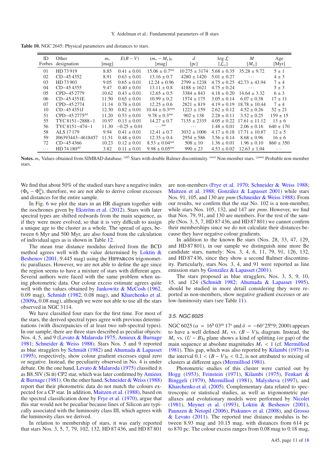**Table 10.** NGC 2645: Physical parameters and distances to stars.

| ID             | Other             | $m_{\rm v}$ | $E(B-V)$         | $(m_{v} - M_{v})_{0}$  | d                                  | $\log L$                | $\boldsymbol{M}$  | Age           |
|----------------|-------------------|-------------|------------------|------------------------|------------------------------------|-------------------------|-------------------|---------------|
| Forbes         | designation       | [mag]       |                  | $[\text{mag}]$         | [pc]                               | [ $\mathcal{L}_\odot$ ] | $[M_{\odot}]$     | [Myr]         |
| 01             | HD 73919          | 8.85        | $0.41 \pm 0.01$  | $15.06 \pm 0.7^{nm}$   | $10\,275 \pm 3174$ 5.68 $\pm 0.35$ |                         | $35.28 \pm 9.72$  | $5 \pm 1$     |
| 02             | CD-454352         | 8.91        | $0.63 \pm 0.01$  | $13.16 \pm 0.7$        | $4280 \pm 1420$                    | $5.01 \pm 0.27$         | $\cdots$          | $4 \pm 3$     |
| 03             | HD 73 903         | 9.05        | $0.65 \pm 0.01$  | $12.24 \pm 0.96$       | $2799 \pm 1238$                    | $4.75 \pm 0.25$         | $42.73 \pm 43.94$ | $7 \pm 4$     |
| 04             | CD-454355         | 9.47        | $0.40 \pm 0.01$  | $13.11 \pm 0.8$        | $4188 \pm 1621$                    | $4.75 \pm 0.24$         | $\cdots$          | $5 \pm 3$     |
| 0 <sub>5</sub> | CPD-45 2779       | 10.62       | $0.43 \pm 0.01$  | $12.65 \pm 0.5$        | $3384 \pm 843$                     | $4.18 \pm 0.20$         | $14.64 \pm 3.32$  | $6 \pm 3$     |
| 06             | CD-454351E        | 11.50       | $0.65 \pm 0.01$  | $10.99 \pm 0.2$        | $1574 \pm 175$                     | $3.05 \pm 0.14$         | $6.07 \pm 0.38$   | $17 \pm 11$   |
| 07             | CPD-45 2774       | 11.14       | $0.78 \pm 0.01$  | $12.25 \pm 0.6$        | $2821 \pm 819$                     | $4.19 \pm 0.19$         | $18.78 \pm 10.44$ | $7 \pm 4$     |
| 10             | $CD-454351J$      | 12.30       | $0.82 \pm 0.01$  | $10.44 \pm 0.3^{pnm}$  | $1223 \pm 159$                     | $2.62 \pm 0.12$         | $4.52 \pm 0.26$   | $52 \pm 21$   |
| 51             | $CPD-452775^{dd}$ | 11.20       | $0.53 \pm 0.01$  | $9.78 \pm 0.3^{nm}$    | $902 \pm 138$                      | $2.28 \pm 0.11$         | $3.52 \pm 0.25$   | $159 \pm 15$  |
| 55             | TYC8151-2888-1    | 10.97       | $0.13 \pm 0.01$  | $14.27 \pm 0.7$        | $7135 \pm 2335$                    | $4.05 \pm 0.22$         | $17.61 \pm 11.12$ | $13 \pm 6$    |
| 56             | TYC8151-474-1     | 11.30       | $-0.25 \pm 0.01$ | $\ldots$ <sup>nm</sup> | $\cdots$                           | $1.48 \pm 0.01$         | $2.06 \pm 0.16$   | $640 \pm 170$ |
| 58             | ALS 17 179        | 9.94        | $0.41 \pm 0.01$  | $12.41 \pm 0.7$        | $3032 \pm 1006$                    | $4.17 \pm 0.18$         | $17.71 \pm 10.87$ | $12 \pm 5$    |
| 59             | J06393443-4618457 | 11.51       | $0.48 \pm 0.01$  | $12.35 \pm 0.4$        | $2954 \pm 586$                     | $3.56 \pm 0.14$         | $8.68 \pm 0.96$   | $16 \pm 6$    |
| 72             | CD-454366         | 10.23       | $0.12 \pm 0.01$  | $8.53 \pm 0.04^{nm}$   | $508 \pm 10$                       | $1.36 \pm 0.01$         | $1.96 \pm 0.10$   | $860 \pm 350$ |
| $\cdots$       | $HD 74 180^{dd}$  | 3.82        | $0.11 \pm 0.01$  | $9.98 \pm 0.05^{nm}$   | $990 \pm 23$                       | $4.53 \pm 0.02$         | $12.63 \pm 1.04$  | $\cdots$      |

**Notes.** *m*<sup>v</sup> Values obtained from SIMBAD database. (*dd*) Stars with double Balmer discontinuity. (*nm*) Non-member stars. (*pnm*) Probable non-member stars.

We find that about 50% of the studied stars have a negative index  $(\Phi_b - \Phi_b^0)$ , therefore, we are not able to derive colour excesses and distances for the entire sample.

In Fig. 6 we plot the stars in an HR diagram together with the isochrones given by Ekström et al. (2012). Stars with later spectral types are shifted redwards from the main sequence, as if they were more evolved, so that it is very difficult to assign a unique age to the cluster as a whole. The spread of ages, between 6 Myr and 500 Myr, are also found from the calculation of individual ages as is shown in Table 12.

The mean true distance modulus derived from the BCD method agrees well with the value determined by Loktin & Beshenov (2001, 9.445 mag) using the HIPPARCOS trigonometric parallaxes. However, we are not able to define the age since the region seems to have a mixture of stars with different ages. Several authors were faced with the same problem when using photometric data. Our colour excess estimate agrees quite well with the values obtained by Jankowitz & McCosh (1962, 0.09 mag), Schmidt (1982, 0.08 mag), and Kharchenko et al. (2009a, 0.08 mag), although we were not able to use all the stars observed in NGC 3114.

We have classified four stars for the first time. For most of the stars, the derived spectral types agree with previous determinations (with discrepancies of at least two sub-spectral types). In our sample, there are three stars described as peculiar objects: Nos. 4, 5, and 9 (Levato & Malaroda 1975; Amieux & Burnage 1981; Schneider & Weiss 1988). Stars Nos. 5 and 9 reported as blue stragglers by Schmidt (1982) and Ahumada & Lapasset (1995), respectively, show colour gradient excesses equal zero or negative. Instead, the peculiarity observed in No. 4 is under debate. On the one hand, Levato & Malaroda (1975) classified it as B8.5IV (Si II) CP2 star, which was later confirmed by Amieux & Burnage (1981). On the other hand, Schneider & Weiss (1988) report that their photometric data do not match the colours expected for a CP star. In addition, Maitzen et al. (1988), based on the spectral classification done by Frye et al. (1970), argue that this star would not be peculiar because lines of Silicon are typically associated with the luminosity class III, which agrees with the luminosity class we derived.

In relation to membership of stars, it was early reported that stars Nos. 3, 5, 7, 79, 102, 132, HD 87 436, and HD 87 801

are non-members (Frye et al. 1970; Schneider & Weiss 1988; Maitzen et al. 1988; González & Lapasset 2001) while stars Nos. 91, 105, and 130 are *pnm* (Schneider & Weiss 1988). From our results, we confirm that the star No. 102 is a non-member, while stars Nos. 105, 132, and 147 are *pnm*. However, we find that Nos. 79, 91, and 130 are members. For the rest of the sample (Nos. 3, 5, 7, HD 87 436, and HD 87 801) we cannot confirm their memberships since we do not calculate their distances because they have negative colour gradients.

In addition to the known Be stars (Nos. 28, 33, 47, 129, and HD 87 801), in our sample we distinguish nine more Be candidate stars, namely: Nos. 3, 4, 6, 11, 79, 91, 126, 132, and HD 87 436, since they show a second Balmer discontinuity. Particularly, stars Nos. 3, 4, and 91 were reported as line emission stars by González & Lapasset (2001).

The stars proposed as blue stragglers, Nos. 3, 5, 9, 10, 15, and 124 (Schmidt 1982; Ahumada & Lapasset 1995), should be studied in more detail considering they were reported as non-members, show negative gradient excesses or are low-luminosity stars (see Table 11).

#### 3.5. NGC 6025

NGC 6025 ( $\alpha = 16^{\text{h}} 03^{\text{m}} 17^{\text{s}}$  and  $\delta = -60^{\circ} 25^{\text{m}} 9$ ; 2000) appears to have a well defined M, ys ( $B - V$ ) diagram Instead the to have a well defined  $M_v$  vs.  $(B - V)_0$  diagram. Instead, the  $M_v$  vs.  $(U - B)_0$  plane shows a kind of splitting (or gap) of the main sequence at absolute magnitudes  $M_v < 1$  (cf. Mermilliod 1981). This gap, which was also reported by Kilambi (1975) in the interval  $0.1 < (B - V)_0 < 0.2$ , is not attributed to mixing of clusters at different ages (Mermilliod 1981).

Photometric studies of this cluster were carried out by Hogg (1953), Feinstein (1971), Kilambi (1975), Fenkart & Binggeli (1979), Mermilliod (1981), Malysheva (1997), and Kharchenko et al. (2005). Complementary data related to spectroscopic or statistical studies, as well as trigonometric parallaxes and evolutionary models were performed by Nicolet (1981), Meynet et al. (1993), Loktin & Beshenov (2001), Paunzen & Netopil (2006), Piskunov et al. (2008), and Grosso  $& Levato (2011)$ . The reported true distance modulus is between 8.93 mag and 10.15 mag, with distances from 614 pc to 870 pc. The colour excess ranges from 0.08 mag to 0.18 mag,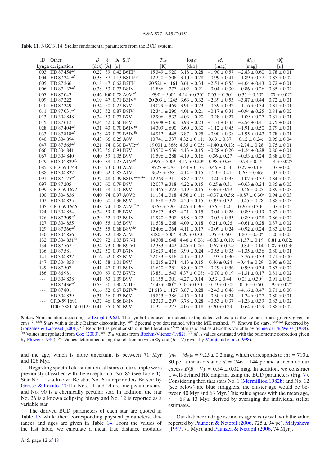| ID       | Other                              | D                         | $\lambda_1$ $\Phi_b$ S.T            | $T_{\rm eff}$                                        | $\log g$          | $M_{\rm v}$                                                               | $M_{\rm bol}$                                                                                 | $\Phi_b^0$        |
|----------|------------------------------------|---------------------------|-------------------------------------|------------------------------------------------------|-------------------|---------------------------------------------------------------------------|-----------------------------------------------------------------------------------------------|-------------------|
|          | Lynga designation                  | [dex] [ $\AA$ ] [ $\mu$ ] |                                     | [K]                                                  | [dex]             | [mag]                                                                     | $[\text{mag}]$                                                                                | $[\mu]$           |
|          | 003 HD 87458 <sup>dd</sup>         | 0.27                      | 39 0.42 B6III <sup>e</sup>          | $15349 \pm 920$                                      | $3.18 \pm 0.28$   | $-1.90 \pm 0.57$                                                          | $-2.83 \pm 0.60$                                                                              | $0.78 \pm 0.01$   |
| 004      | $HD 87 241^{dd}$                   |                           | 0.38 37 1.13 $B8III^{p,e}$          | $12\,250 \pm 506$                                    | $3.10 \pm 0.28$   | $-0.99 \pm 0.41$                                                          | $-1.89 \pm 0.57$                                                                              | $0.85 \pm 0.02$   |
|          | 005 HD 87 266                      |                           | $0.18$ 47 $0.62$ B2III <sup>p</sup> | $20\,521 \pm 1161$ $3.61 \pm 0.34$                   |                   | $-2.51 \pm 0.55$                                                          | $-4.04 \pm 0.43$                                                                              | $0.72 \pm 0.01$   |
|          | 006 HD 87 137 <sup>dd</sup>        |                           | 0.38 53 0.73 B8IV                   | $11886 \pm 277$ $4.02 \pm 0.21$                      |                   | $-0.04 \pm 0.30$                                                          | $-0.86 \pm 0.26$                                                                              | $0.85 \pm 0.02$   |
| 007      | HD 87042                           |                           | $0.46$ 100 0.78 A0V <sup>mk</sup>   | $9790 \pm 500^a$ 4.14 $\pm 0.30^a$                   |                   | $0.65 \pm 0.50^a$                                                         | $0.35 \pm 0.50^a$                                                                             | $1.07 \pm 0.02^m$ |
| 009      | HD 87 222                          |                           | $0.19$ 47 $0.71$ B3IV <sup>P</sup>  | $20\,203 \pm 1245$ 3.63 $\pm 0.32$                   |                   | $-2.39 \pm 0.53$                                                          | $-3.87 \pm 0.44$                                                                              | $0.72 \pm 0.01$   |
|          | 010 HD 87349                       |                           | 0.34 50 0.22 B7V                    | $13\,079 \pm 469$ $3.91 \pm 0.23$                    |                   | $-0.39 \pm 0.32$                                                          | $-1.16 \pm 0.34$                                                                              | $0.81 \pm 0.01$   |
| 011      | $HD 87 031^{dd}$                   |                           | 0.37 52 0.87 B8IV                   | $12341 \pm 296$                                      | $4.01 \pm 0.21$   | $-0.17 \pm 0.31$                                                          | $-0.94 \pm 0.25$                                                                              | $0.84 \pm 0.02$   |
|          | 013 HD 304 848                     |                           | 0.34 53 0.77 B7V                    | $12906 \pm 533$                                      | $4.03 \pm 0.20$   | $-0.28 \pm 0.27$                                                          | $-1.09 \pm 0.27$                                                                              | $0.81 \pm 0.01$   |
| 015      | HD 87612                           |                           | $0.24$ 52 0.66 B4V                  | $16908 \pm 630$                                      | $3.98 \pm 0.23$   | $-1.31 \pm 0.35$                                                          | $-2.54 \pm 0.41$                                                                              | $0.75 \pm 0.01$   |
| 028      | HD 87 404 <sup>dd</sup>            |                           | 0.31 43 0.70 $B6IV^{Be}$            | $14309 \pm 690$                                      | $3.60 \pm 0.30$   | $-1.12 \pm 0.45$                                                          | $-1.91 \pm 0.50$                                                                              | $0.79 \pm 0.01$   |
|          | 033 HD 87 818dd                    | 0.28                      | 49 0.79 $B5IV^{Be}$                 | $14912 \pm 445$                                      | $3.87 \pm 0.25$   | $-0.90 \pm 0.38$                                                          | $-1.95 \pm 0.42$                                                                              | $0.78 \pm 0.01$   |
|          | 040 HD 304 894                     | 0.43                      | 66 0.25 A0V                         | $10741 \pm 337$ $4.32 \pm 0.11$ :                    |                   | $0.63 \pm 0.37$ :                                                         | $0.12 \pm 0.24$ :                                                                             | $0.95 \pm 0.04$   |
| 047      | HD 87 565 <sup>dd</sup>            |                           | 0.21 74 0.30 $B4VI:$ <sup>Be</sup>  |                                                      |                   | $19031 \pm 866$ : $4.35 \pm 0.05$ : $-1.40 \pm 0.13$ : $-2.74 \pm 0.28$ : |                                                                                               | $0.75 \pm 0.01$   |
|          | 066 HD 304 841                     |                           | 0.32 56 0.94 B7V                    | $13\,530 \pm 539$ $4.13 \pm 0.15$                    |                   | $-0.28 \pm 0.20$                                                          | $-1.24 \pm 0.28$                                                                              | $0.80 \pm 0.01$   |
| 067      | HD 304 840                         |                           | 0.40 59 1.05 B9V                    | $11596 \pm 288$                                      | $4.19 \pm 0.16$   | $0.36 \pm 0.27$                                                           | $-0.53 \pm 0.24$                                                                              | $0.88 \pm 0.03$   |
| 079      | HD 304 829dd                       |                           | 0.40 89 1.27 A1 $V^{mk}$            | $9395 \pm 500^{\circ}$                               | $4.17 \pm 0.20^a$ | $0.98 \pm 0.5^a$                                                          | $0.73 \pm 0.5^a$                                                                              | $1.14 \pm 0.02^m$ |
| 085      | CPD-59 1748                        |                           | 0.48 73 0.34 A2V:                   | $9727 \pm 270$                                       | $4.44 \pm 0.10$ : | $0.46 \pm 0.44$ :                                                         | $0.27 \pm 0.13^{f}$                                                                           | $1.07 \pm 0.05$   |
| 088      | HD 304 837                         |                           | 0.49 62 0.85 A1V                    | $9625 \pm 368$                                       | $4.14 \pm 0.15$   | $1.29 \pm 0.41$ :                                                         | $0.65 \pm 0.46$ :                                                                             | $1.02 \pm 0.05$   |
| 091      | HD 87 125 <sup>dd</sup>            |                           | 0.37 48 0.99 B8IVshell, Boo         | $12269 \pm 311$                                      | $3.82 \pm 0.27$   | $-0.40 \pm 0.35$                                                          | $-1.07 \pm 0.37$                                                                              | $0.84 \pm 0.02$   |
| 097      | HD 87 205                          | 0.37                      | 60 0.79 B8V                         | $12037 \pm 318$                                      | $4.22 \pm 0.15$   | $0.25 \pm 0.31$                                                           | $-0.63 \pm 0.24$                                                                              | $0.85 \pm 0.02$   |
| 099      | CPD-59 1677                        |                           | 0.41 59 1.10 B9V                    | $11\,465 \pm 272$ $4.19 \pm 0.15$                    |                   | $0.46 \pm 0.29$                                                           | $-0.46 \pm 0.25$ :                                                                            | $0.89 \pm 0.03$   |
|          | 100 HD 304 836                     |                           | 0.40 74 0.97 A0VI:                  |                                                      |                   | $11\,134 \pm 318$ $4.56 \pm 0.11$ : $-0.37 \pm 0.36$ : $-0.87 \pm 0.30$   |                                                                                               | $0.94 \pm 0.03$   |
| 102      | HD 304 835                         |                           | 0.40 60 1.36 B9V                    | $11638 \pm 328$                                      | $4.20 \pm 0.15$   | $0.39 \pm 0.32$                                                           | $-0.45 \pm 0.28$ :                                                                            | $0.88 \pm 0.03$   |
| 105      | CPD-59 1666                        |                           | 0.48 74 1.08 A2V:Boo                | $9565 \pm 320$                                       | $4.45 \pm 0.30$ : | $0.36 \pm 0.40$ :                                                         | $0.20 \pm 0.30^f$                                                                             | $1.07 \pm 0.05$   |
| 124      | HD 304 854                         |                           | 0.34 59 0.98 B7V                    | $12677 \pm 487$                                      | $4.21 \pm 0.15$   | $-0.04 \pm 0.26$                                                          | $-0.89 \pm 0.19$                                                                              | $0.82 \pm 0.02$   |
|          | 126 HD 87 309dd                    |                           | 0.39 52 1.05 B9IV                   | $11920 \pm 308$                                      | $3.98 \pm 0.22$   | $-0.05 \pm 0.33$                                                          | $-0.89 \pm 0.28$                                                                              | $0.86 \pm 0.02$   |
| 127      | HD 304 855                         |                           | 0.40 55 1.05 B9V                    | $11538 \pm 268$                                      | $4.09 \pm 0.18$   | $0.21 \pm 0.26$                                                           | $-0.61 \pm 0.28$                                                                              | $0.87 \pm 0.02$   |
| 129      | HD 87 366 <sup>dd</sup>            |                           | 0.35 55 0.68 B8V <sup>Be</sup>      | $12406 \pm 364$                                      | $4.11 \pm 0.17$   | $-0.09 \pm 0.24$                                                          | $-0.92 \pm 0.24$                                                                              | $0.83 \pm 0.02$   |
|          | 130 HD 304 856                     |                           | 0.47 82 1.38 A5V:                   | $8180 \pm 500^a$ 4.29 $\pm$ 0.30 <sup><i>a</i></sup> |                   | $1.95 \pm 0.50^a$                                                         | $1.80 \pm 0.50^a$                                                                             | $1.20 \pm 0.05$   |
| 132      | HD 304 831dd                       |                           | 0.29 72 1.03 B7:VI:                 |                                                      |                   |                                                                           | $14308 \pm 648$ 4.40 $\pm$ 0.06: $-0.83 \pm 0.19$ : $-1.57 \pm 0.19$ : 0.81 $\pm$ 0.02:       |                   |
| 134      | HD 87567                           |                           | 0.34 73 0.96 B9:VI:                 |                                                      |                   |                                                                           | $12\,383 \pm 442$ $4.45 \pm 0.06$ : $-0.67 \pm 0.24$ : $-0.84 \pm 0.14$ : $0.87 \pm 0.03$ :   |                   |
|          | 136 HD 87581                       |                           | 0.32 50 0.97 B7IV                   | $13629 \pm 416$                                      | $3.90 \pm 0.24$   | $-0.55 \pm 0.35$                                                          | $-1.35 \pm 0.36$                                                                              | $0.80 \pm 0.01$   |
| 141      | HD 304 832                         |                           | 0.16 62 0.85 B2V                    | $22033 \pm 916$                                      | $4.15 \pm 0.12$   | $-1.93\pm0.30$                                                            | $-3.76 \pm 0.33$                                                                              | $0.71 \pm 0.00$   |
| 147      | HD 304 858                         |                           | 0.42 58 1.01 B9V                    | $11\,215 \pm 274$ 4.13 $\pm$ 0.15                    |                   | $0.46 \pm 0.24$                                                           | $-0.44 \pm 0.29$ : $0.90 \pm 0.02$                                                            |                   |
| 149      | HD 87 507                          |                           | 0.41 47 0.91 B9IV                   | $11650 \pm 231$ $3.80 \pm 0.27$                      |                   | $-0.29 \pm 0.36$                                                          | $-0.99 \pm 0.34$                                                                              | $0.87 \pm 0.02$   |
| 186      | HD 86981                           |                           | 0.30 69 0.73 B7VI:                  |                                                      |                   | $13851 \pm 543$ $4.37 \pm 0.08$ : $-0.70 \pm 0.19$                        | $-1.31 \pm 0.17$                                                                              | $0.81 \pm 0.02$   |
| $\cdots$ | HD 304 838                         |                           | 0.41 63 1.09 B9V                    | $11155 \pm 301$                                      | $4.27 \pm 0.14$   | $0.53 \pm 0.44$ :                                                         | $0.03 \pm 0.30^{f}$                                                                           | $0.91 \pm 0.03$   |
| $\cdots$ | HD 87 436 <sup>dd</sup>            |                           | 0.53 50 1.30 A7III:                 |                                                      |                   |                                                                           | $7550 \pm 500^{bv}$ $3.05 \pm 0.30^a$ $-0.19 \pm 0.50^f$ $-0.16 \pm 0.50^a$ $1.79 \pm 0.02^m$ |                   |
| $\cdots$ | HD 87801                           |                           | 0.16 52 0.67 B2IV <sup>Be</sup>     | $21613 \pm 1127$ 3.87 $\pm$ 0.28                     |                   | $-2.43 \pm 0.46$                                                          | $-4.16 \pm 0.47$                                                                              | $0.71 \pm 0.00$   |
| .        | HD 304 839                         |                           | 0.31 56 0.97 B6V                    | $13853 \pm 586$ $4.15 \pm 0.14$                      |                   | $-0.30 \pm 0.24$                                                          | $-1.24 \pm 0.27$                                                                              | $0.80 \pm 0.01$   |
| .        | CPD-59 1691                        | 0.37                      | 46 0.86 B8IV                        | $12323 \pm 297$                                      | $3.78 \pm 0.28$   | $-0.53 \pm 0.37$                                                          | $-1.23 \pm 0.39$                                                                              | $0.83 \pm 0.02$   |
| .        | J10015881-6001125 0.41 55 0.60 B9V |                           |                                     | $11\,371 \pm 277$                                    | $4.05 \pm 0.18$   | $0.20 \pm 0.29$                                                           | $-0.64 \pm 0.29$                                                                              | $0.88 \pm 0.02$   |

**Notes.** Nomenclature according to Lyngå (1962). The symbol : is used to indicate extrapolated values. *g* is the stellar surface gravity given in cm s<sup>-2</sup>. (*dd*) Stars with a double Balmer discontinuity. <sup>(mk)</sup> Spectral González & Lapasset (2001). <sup>(*p*)</sup> Reported as peculiar stars in the literature. (*Boo*) Star reported as *ABoothis variable by Schneider & Weiss* (1988). (*a*) Values internalated from Cox (2000). (*b*)  $T_{\text{ex}}$  values (*a*) Values interpolated from Cox (2000). (*bv*)  $T_{\text{eff}}$  values from Boehm-Vitense (1982). (*f*)  $M_{\text{bol}}$  values estimated with the bolometric correction given by Flower (1996). <sup>(*m*)</sup> Values determined using the relation between  $\Phi_b$  and  $(B - V)$  given by Moujtahid et al. (1998).

and the age, which is more uncertain, is between 71 Myr and 126 Myr.

Regarding spectral classification, all stars of our sample were previously classified with the exception of No. 86 (see Table 4). Star No. 1 is a known Be star, No. 6 is reported as Be star by Grosso & Levato (2011), Nos. 11 and 24 are line peculiar stars, and No. 90 is a chemically peculiar star. In addition, the star No. 26 is a known eclipsing binary and No. 12 is reported as a variable star.

The derived BCD parameters of each star are quoted in Table 13 while their corresponding physical parameters, distances and ages are given in Table 14. From the values of the last table, we calculate a mean true distance modulus  $\overline{(m_v - M_v)_0}$  = 9.25 ± 0.2 mag, which corresponds to  $\langle d \rangle$  = 710 ± 80 pc, a mean distance  $\overline{d}$  = 746  $\pm$  144 pc and a mean colour excess  $\overline{E(B-V)} = 0.34 \pm 0.02$  mag. In addition, we construct a well-defined HR diagram using the BCD parameters (Fig. 7). Considering then that stars No. 1 (Mermilliod 1982b) and No. 12 (see below) are blue stragglers, the cluster age would be between 40 Myr and 63 Myr. This value agrees with the mean age,  $\overline{t}$  = 68  $\pm$  13 Myr, derived by averaging the individual stellar estimates.

Our distance and age estimates agree very well with the value reported by Paunzen & Netopil (2006, 725  $\pm$  94 pc), Malysheva (1997, 71 Myr), and Paunzen & Netopil (2006, 74 Myr).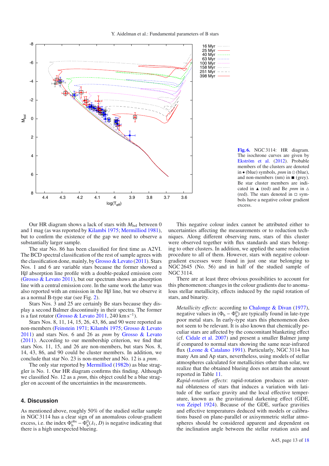Y. Aidelman et al.: Fundamental parameters of B stars



**[Fig. 6.](http://dexter.edpsciences.org/applet.php?DOI=10.1051/0004-6361/201425085&pdf_id=6)** NGC 3114: HR diagram. The isochrone curves are given by Ekström et al. (2012). Probable members of the clusters are denoted in  $\bullet$  (blue) symbols, *pnm* in  $\odot$  (blue), and non-members (nm) in  $\blacksquare$  (grey). Be star cluster members are indicated in  $\triangle$  (red) and Be *pnm* in  $\triangle$ (red). The stars denoted in  $\square$  symbols have a negative colour gradient excess.

Our HR diagram shows a lack of stars with  $M_{bol}$  between 0 and 1 mag (as was reported by Kilambi 1975; Mermilliod 1981), but to confirm the existence of the gap we need to observe a substantially larger sample.

The star No. 86 has been classified for first time as A2VI. The BCD spectral classification of the rest of sample agrees with the classification done, mainly, by Grosso & Levato (2011). Stars Nos. 1 and 6 are variable stars because the former showed a  $H\beta$  absorption line profile with a double-peaked emission core (Grosso & Levato 2011), but our spectrum shows an absorption line with a central emission core. In the same work the latter was also reported with an emission in the  $H\beta$  line, but we observe it as a normal B-type star (see Fig. 2).

Stars Nos. 3 and 25 are certainly Be stars because they display a second Balmer discontinuity in their spectra. The former is a fast rotator (Grosso & Levato 2011, 240 km s<sup>-1</sup>).

Stars Nos. 8, 11, 14, 15, 26, 43, 86, and 90 were reported as non-members (Feinstein 1971; Kilambi 1975; Grosso & Levato 2011) and stars Nos. 6 and 26 as *pnm* by Grosso & Levato (2011). According to our membership criterion, we find that stars Nos. 11, 15, and 26 are non-members, but stars Nos. 8, 14, 43, 86, and 90 could be cluster members. In addition, we conclude that star No. 23 is non-member and No. 12 is a *pnm*.

The only star reported by Mermilliod (1982b) as blue straggler is No. 1. Our HR diagram confirms this finding. Although we classified No. 12 as a *pnm*, this object could be a blue straggler on account of the uncertainties in the measurements.

## **4. Discussion**

As mentioned above, roughly 50% of the studied stellar sample in NGC 3114 has a clear sign of an anomalous colour-gradient excess, i.e. the index  $\Phi_b^{obs} - \Phi_b^0(\lambda_1, D)$  is negative indicating that there is a high unexpected blueing there is a high unexpected blueing.

This negative colour index cannot be attributed either to uncertainties affecting the measurements or to reduction techniques. Along different observing runs, stars of this cluster were observed together with flux standards and stars belonging to other clusters. In addition, we applied the same reduction procedure to all of them. However, stars with negative colourgradient excesses were found in just one star belonging to NGC 2645 (No. 56) and in half of the studied sample of NGC 3114.

There are at least three obvious possibilities to account for this phenomenon: changes in the colour gradients due to anomalous stellar metallicity, effects induced by the rapid rotation of stars, and binarity.

*Metallicity e*ff*ects*: according to Chalonge & Divan (1977), negative values in  $(\Phi_b - \Phi_b^0)$  are typically found in late-type poor metal stars. In early-type stars this phenomenon does not seem to be relevant. It is also known that chemically peculiar stars are affected by the concomitant blanketing effect (cf. Cidale et al. 2007) and present a smaller Balmer jump if compared to normal stars showing the same near-infrared flux (Leone & Catalano 1991). Particularly, NGC 3114 has many Am and Ap stars, nevertheless, using models of stellar atmospheres calculated for metallicities other than solar, we realize that the obtained blueing does not attain the amount reported in Table 11.

*Rapid-rotation e*ff*ects*: rapid-rotation produces an external oblateness of stars that induces a variation with latitude of the surface gravity and the local effective temperature, known as the gravitational darkening effect (GDE, von Zeipel 1924). Because of the GDE, surface gravities and effective temperatures deduced with models or calibrations based on plane-parallel or axisymmetric stellar atmospheres should be considered apparent and dependent on the inclination angle between the stellar rotation axis and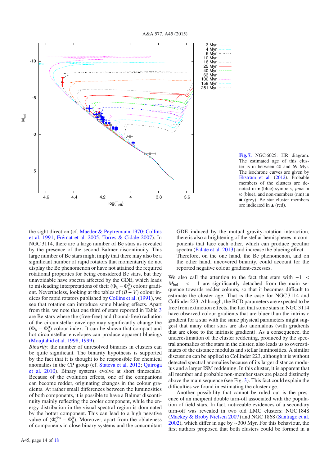

**[Fig. 7.](http://dexter.edpsciences.org/applet.php?DOI=10.1051/0004-6361/201425085&pdf_id=7)** NGC 6025: HR diagram. The estimated age of this cluster is in between 40 and 69 Myr. The isochrone curves are given by Ekström et al. (2012). Probable members of the clusters are denoted in • (blue) symbols, *pnm* in (blue), and non-members (nm) in ■ (grey). Be star cluster members are indicated in  $\triangle$  (red).

the sight direction (cf. Maeder & Peytremann 1970; Collins et al. 1991; Frémat et al. 2005; Torres & Cidale 2007). In NGC 3114, there are a large number of Be stars as revealed by the presence of the second Balmer discontinuity. This large number of Be stars might imply that there may also be a significant number of rapid rotators that momentarily do not display the Be phenomenon or have not attained the required rotational properties for being considered Be stars, but they unavoidable have spectra affected by the GDE, which leads to misleading interpretations of their  $(\Phi_b - \Phi_b^0)$  colour gradient. Nevertheless, looking at the tables of  $(B - V)$  colour indices for rapid rotators published by Collins et al. (1991), we see that rotation can introduce some blueing effects. Apart from this, we note that one third of stars reported in Table 3 are Be stars where the (free-free) and (bound-free) radiation of the circumstellar envelope may significantly change the  $(\Phi_b - \Phi_b^0)$  colour index. It can be shown that compact and hot circumstellar envelopes can produce apparent blueings (Moujtahid et al. 1998, 1999).

*Binarity*: the number of unresolved binaries in clusters can be quite significant. The binarity hypothesis is supported by the fact that it is thought to be responsible for chemical anomalies in the CP group (cf. Stateva et al. 2012; Quiroga et al. 2010). Binary systems evolve at short timescales. Because of the evolution effects, one of the companions can become redder, originating changes in the colour gradients. At rather small differences between the luminosities of both components, it is possible to have a Balmer discontinuity mainly reflecting the cooler component, while the energy distribution in the visual spectral region is dominated by the hotter component. This can lead to a high negative value of ( $\Phi_{b}^{obs} - \Phi_{b}^{0}$ ). Moreover, apart from the oblateness of components in close binary systems and the concomitant

GDE induced by the mutual gravity-rotation interaction, there is also a brightening of the stellar hemispheres in components that face each other, which can produce peculiar spectra (Palate et al. 2013) and increase the blueing effect. Therefore, on the one hand, the Be phenomenon, and on the other hand, uncovered binarity, could account for the reported negative colour gradient-excesses.

We also call the attention to the fact that stars with  $-1 < M_{\text{bol}} < 1$  are significantly detached from the main se-*<sup>M</sup>*bol <sup>&</sup>lt; 1 are significantly detached from the main sequence towards redder colours, so that it becomes difficult to estimate the cluster age. That is the case for NGC 3114 and Collinder 223. Although, the BCD parameters are expected to be free from extinction effects, the fact that some stars in NGC 3114 have observed colour gradients that are bluer than the intrinsic gradient for a star with the same physical parameters might suggest that many other stars are also anomalous (with gradients that are close to the intrinsic gradient). As a consequence, the underestimation of the cluster reddening, produced by the spectral anomalies of the stars in the cluster, also leads us to overestimates of the distance modulus and stellar luminosities. A similar discussion can be applied to Collinder 223, although it is without detected spectral anomalies because of its larger distance modulus and a larger ISM reddening. In this cluster, it is apparent that all member and probable non-member stars are placed distinctly above the main sequence (see Fig. 3). This fact could explain the difficulties we found in estimating the cluster age.

Another possibility that cannot be ruled out is the presence of an incipient double turn-off associated with the population of field stars. In fact, noticeable evidences of a secondary turn-off was revealed in two old LMC clusters: NGC 1848 (Mackey & Broby Nielsen 2007) and NGC 1868 (Santiago et al. 2002), which differ in age by ∼300 Myr. For this behaviour, the first authors proposed that both clusters could be formed in a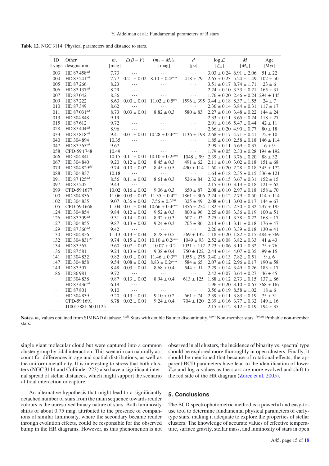**Table 12.** NGC 3114: Physical parameters and distance to stars.

| ID         | Other                      | $m_{\rm v}$ | $E(B-V)$                              | $(m_{v} - M_{v})_{0}$                                                                              | $\overline{d}$                                             | $\log \mathcal{L}$                             | M                                                                                              | Age          |
|------------|----------------------------|-------------|---------------------------------------|----------------------------------------------------------------------------------------------------|------------------------------------------------------------|------------------------------------------------|------------------------------------------------------------------------------------------------|--------------|
|            | Lynga designation          | [mag]       |                                       | $[\text{mag}]$                                                                                     | [pc]                                                       | $[\mathcal{L}_\odot]$                          | $[M_{\odot}]$                                                                                  | [Myr]        |
| 003        | HD 87 458 <sup>dd</sup>    | 7.73        | $\cdots$                              | $\cdots$                                                                                           | $\ldots$                                                   |                                                | $3.03 \pm 0.24$ 6.91 $\pm 2.06$                                                                | $51 \pm 22$  |
| 004        | HD 87 241 <sup>dd</sup>    | 7.77        |                                       | $0.21 \pm 0.02$ $8.10 \pm 0.4$ <sup>pnm</sup>                                                      | $418 \pm 79$                                               |                                                | $2.65 \pm 0.23$ 5.24 $\pm$ 1.49                                                                | $102 \pm 50$ |
| 005        | HD 87 266                  | 8.23        | $\ldots$                              | $\ldots$                                                                                           | $\ldots$                                                   |                                                | $3.51 \pm 0.17$ $8.74 \pm 1.71$                                                                | $23 \pm 6$   |
| 006        | HD 87 137dd                | 8.29        | $\cdots$                              | .                                                                                                  | $\ldots$                                                   |                                                | $2.24 \pm 0.10$ $3.33 \pm 0.21$                                                                | $165 \pm 31$ |
| 007        | HD 87042                   | 8.36        | $\cdots$                              | $\cdots$                                                                                           | $\ldots$                                                   |                                                | $1.76 \pm 0.20$ $2.46 \pm 0.24$ $294 \pm 145$                                                  |              |
| 009        | HD 87 222                  | 8.63        |                                       | $0.00 \pm 0.01$ 11.02 $\pm 0.5^{nm}$                                                               |                                                            | $1596 \pm 395$ 3.44 $\pm$ 0.18 8.37 $\pm$ 1.55 |                                                                                                | $24 \pm 7$   |
| 010        | HD 87349                   | 8.62        | $\ldots$                              | $\ldots$                                                                                           | $\ldots$                                                   |                                                | $2.36 \pm 0.14$ $3.84 \pm 0.31$ $117 \pm 17$                                                   |              |
| 011        | HD 87 031dd                | 8.73        | $0.03 \pm 0.01$                       | $8.82 \pm 0.3$                                                                                     | $580 \pm 83$                                               |                                                | $2.27 \pm 0.10$ 3.48 $\pm$ 0.22                                                                | $144 \pm 24$ |
| 013        | HD 304 848                 | 9.19        | $\ldots$                              | .                                                                                                  | .                                                          |                                                | $2.33 \pm 0.11$ $3.65 \pm 0.24$                                                                | $118 \pm 27$ |
| 015        | HD 87612                   | 9.72        | $\ldots$                              | $\ldots$                                                                                           | $\ldots$                                                   |                                                | $2.91 \pm 0.16$ 5.47 $\pm$ 0.44                                                                | $42 \pm 11$  |
| 028        | HD 87 404 <sup>dd</sup>    | 8.96        | $\ldots$                              | $\cdots$                                                                                           | $\ldots$                                                   |                                                | $2.66 \pm 0.20$ 4.90 $\pm$ 0.77                                                                | $80 \pm 18$  |
| 033        | HD 87 818dd                | 9.41        |                                       | $0.01 \pm 0.01$ $10.28 \pm 0.4$ $pnm$ $1136 \pm 198$ $2.68 \pm 0.17$ $4.71 \pm 0.41$               |                                                            |                                                |                                                                                                | $72 \pm 10$  |
| 040        | HD 304 894                 | 10.35       | $\ldots$                              | $\ldots$                                                                                           | .                                                          |                                                | $1.85 \pm 0.10$ $2.58 \pm 0.18$ $146 \pm 114$                                                  |              |
| 047        | HD 87 565 <sup>dd</sup>    | 9.67        | $\ldots$                              | $\ldots$                                                                                           | $\ldots$                                                   |                                                | $2.99 \pm 0.11$ 5.69 $\pm$ 0.37                                                                | $6 \pm 9$    |
| 058        | CPD-591748                 | 10.49       | $\ldots$                              | $\ldots$                                                                                           | .                                                          |                                                | $1.79 \pm 0.05$ $2.30 \pm 0.28$ $194 \pm 192$                                                  |              |
| 066        | HD 304 841                 |             |                                       | 10.15 0.11 $\pm$ 0.01 10.10 $\pm$ 0.2 <sup>ppm</sup> 1048 $\pm$ 99 2.39 $\pm$ 0.11 3.76 $\pm$ 0.20 |                                                            |                                                |                                                                                                | $88 \pm 32$  |
| 067        | HD 304 840                 |             | 9.20 $0.12 \pm 0.02$                  | $8.45 \pm 0.3$                                                                                     | $491 \pm 62$                                               |                                                | $2.11 \pm 0.10$ $3.02 \pm 0.18$ $151 \pm 68$                                                   |              |
| 079        | HD 304 829 <sup>dd</sup>   | 9.74        | $0.10 \pm 0.02$                       | $8.45 \pm 0.5$                                                                                     |                                                            |                                                | $490 \pm 114$ $1.60 \pm 0.20$ $2.28 \pm 0.18$ $345 \pm 172$                                    |              |
| 088        | HD 304 837                 | 10.18       | $\ldots$                              | $\mathbf{1}$ , $\mathbf{1}$ , $\mathbf{1}$                                                         | $\mathbf{1}$ , $\mathbf{1}$ , $\mathbf{1}$                 |                                                | $1.64 \pm 0.18$ $2.35 \pm 0.15$ $336 \pm 121$                                                  |              |
| 091        | HD 87 125 $^{dd}$          |             | 8.56 $0.11 \pm 0.02$                  | $8.61\pm0.3$                                                                                       | $526 \pm 84$                                               |                                                | $2.32 \pm 0.15$ 3.67 $\pm$ 0.31                                                                | $152 \pm 15$ |
| 097        | HD 87 205                  | 9.43        | $\ldots$                              | $\ldots$                                                                                           | $\ldots$                                                   |                                                | $2.15 \pm 0.10$ $3.13 \pm 0.18$ $121 \pm 62$                                                   |              |
| 099        | CPD-59 1677                |             | $10.02 \ \ 0.16 \pm 0.02$             | $9.06 \pm 0.3$                                                                                     | $650 \pm 87$                                               |                                                | $2.08 \pm 0.10$ $2.97 \pm 0.18$ $158 \pm 70$                                                   |              |
| 100        | HD 304 836                 |             |                                       | $11.06$ $0.03 \pm 0.02$ $11.35 \pm 0.4^{nm}$                                                       |                                                            |                                                | $1861 \pm 306$ 2.24 $\pm$ 0.12 2.79 $\pm$ 0.50 114 $\pm$ 114                                   |              |
| 102        | HD 304 835                 |             | 9.07 $0.36 \pm 0.02$                  | $7.56 \pm 0.3^{nm}$                                                                                | $325 \pm 49$                                               |                                                | $2.08 \pm 0.11$ $3.00 \pm 0.17$ $144 \pm 67$                                                   |              |
| 105        | CPD-59 1666                |             |                                       | $11.04$ $0.01 \pm 0.04$ $10.66 \pm 0.4$ <sup>pnm</sup>                                             |                                                            |                                                | $1356 \pm 254$ $1.82 \pm 0.12$ $2.30 \pm 0.32$ $237 \pm 195$                                   |              |
| 124        | HD 304 854                 |             | 9.84 $0.12 \pm 0.02$                  | $9.52 \pm 0.3$                                                                                     |                                                            |                                                | $800 \pm 96$ $2.25 \pm 0.08$ $3.36 \pm 0.19$ $100 \pm 51$                                      |              |
| 126        | HD 87 309 <sup>dd</sup>    | 9.31        | $0.14 \pm 0.01$                       | $8.92 \pm 0.3$                                                                                     | $607 \pm 92$                                               |                                                | $2.25 \pm 0.11$ $3.38 \pm 0.22$                                                                | $168 \pm 17$ |
| 127        | HD 304 855                 | 9.87        | $0.13 \pm 0.02$                       | $9.24 \pm 0.3$                                                                                     | $705 \pm 86$                                               |                                                | $2.14 \pm 0.11$ $3.11 \pm 0.18$                                                                | $176 \pm 47$ |
| 129<br>130 | HD 87 366 <sup>dd</sup>    | 9.42        | $\ldots$<br>$11.13 \ \ 0.13 \pm 0.04$ | $\ldots$<br>$8.78 \pm 0.5$                                                                         | $\ldots$                                                   |                                                | $2.26 \pm 0.10$ $3.39 \pm 0.18$<br>$569 \pm 132$ $1.18 \pm 0.20$ $1.82 \pm 0.15$ $484 \pm 369$ | $130 \pm 41$ |
| 132        | HD 304 856<br>HD 304 831dd | 9.74        |                                       | $0.15 \pm 0.01$ $10.10 \pm 0.2$ <sup>pnm</sup>                                                     |                                                            |                                                | $1049 \pm 93$ $2.52 \pm 0.08$ $3.82 \pm 0.33$                                                  | $41 \pm 43$  |
| 134        | HD 87567                   | 9.60        | $0.07 \pm 0.02$                       | $10.07 \pm 0.2$                                                                                    |                                                            |                                                | $1031 \pm 112$ $2.23 \pm 0.06$ $3.10 \pm 0.32$                                                 | $75 \pm 76$  |
| 136        | HD 87 581                  | 9.24        | $0.13 \pm 0.01$                       | $9.38 \pm 0.4$                                                                                     |                                                            | $750 \pm 122$ 2.44 $\pm$ 0.14 4.07 $\pm$ 0.35  |                                                                                                | $99 \pm 15$  |
| 141        | HD 304 832                 | 9.82        | $0.09 \pm 0.01$                       | $11.46 \pm 0.3^{nm}$                                                                               |                                                            | $1955 \pm 275$ 3.40 $\pm$ 0.13 7.82 $\pm$ 0.51 |                                                                                                | $9 \pm 6$    |
| 147        | HD 304 858                 | 9.54        |                                       | $0.08 \pm 0.02$ $8.83 \pm 0.2$ <sup>pnm</sup>                                                      | $584 \pm 65$                                               |                                                | $2.07 \pm 0.12$ $2.96 \pm 0.17$                                                                | $190 \pm 58$ |
| 149        | HD 87507                   | 8.48        | $0.03 \pm 0.01$                       | $8.68 \pm 0.4$                                                                                     | $544 \pm 91$                                               |                                                | $2.29 \pm 0.14$ 3.49 $\pm$ 0.26                                                                | $183 \pm 17$ |
| 186        | HD 86 981                  | 9.72        | $\ldots$                              | <b>Contractor</b>                                                                                  | $\ldots$ .                                                 |                                                | $2.42 \pm 0.07$ 3.64 $\pm$ 0.27                                                                | $46 \pm 45$  |
| $\ldots$   | HD 304 838                 | 9.87        | $0.13 \pm 0.02$                       | $8.94 \pm 0.4$                                                                                     |                                                            | $613 \pm 125$ $1.88 \pm 0.12$ $2.73 \pm 0.15$  |                                                                                                | $137 \pm 86$ |
| $\cdots$   | HD 87436 <sup>dd</sup>     | 6.19        | $\ldots$                              | $\ldots$                                                                                           | $\ldots$                                                   |                                                | $1.96 \pm 0.20$ $3.10 \pm 0.67$ $368 \pm 167$                                                  |              |
| $\cdots$   | HD 87801                   | 9.10        | $\ldots$                              | $\ldots$                                                                                           | $\mathbb{E}[\mathbf{z} \mathbf{z}]=\mathbb{E}[\mathbf{z}]$ |                                                | $3.56 \pm 0.19$ $8.58 \pm 1.02$                                                                | $18 \pm 6$   |
| .          | HD 304 839                 | 9.20        | $0.13 \pm 0.01$                       | $9.10 \pm 0.2$                                                                                     | $661 \pm 74$                                               |                                                | $2.39 \pm 0.11$ $3.83 \pm 0.19$                                                                | $75 \pm 31$  |
| $\cdots$   | CPD-59 1691                | 8.78        | $0.02 \pm 0.01$                       | $9.24 \pm 0.4$                                                                                     |                                                            |                                                | $704 \pm 120$ $2.39 \pm 0.16$ $3.77 \pm 0.32$ $149 \pm 16$                                     |              |
| $\cdots$   | J10015881-6001125          | $\ldots$    | $\ldots$                              | $\ldots$ .                                                                                         | $\mathbf{1}$ , and $\mathbf{1}$                            |                                                | $2.15 \pm 0.12$ $3.12 \pm 0.19$ $194 \pm 35$                                                   |              |

Notes.  $m_v$  values obtained from SIMBAD database. (*dd*) Stars with double Balmer discontinuity. (*nm*) Non-member stars. (*pnm*) Probable non-member stars.

single giant molecular cloud but were captured into a common cluster group by tidal interaction. This scenario can naturally account for differences in age and spatial distributions, as well as the uniform metallicity. It is interesting to stress that both clusters (NGC 3114 and Collinder 223) also have a significant internal spread of stellar distances, which might support the scenario of tidal interaction or capture.

An alternative hypothesis that might lead to a significantly detached number of stars from the main sequence towards redder colours is the unresolved binary nature of stars. Both luminosity shifts of about 0.75 mag, attributed to the presence of companions of similar luminosity, where the secondary became redder through evolution effects, could be responsible for the observed bump in the HR diagrams. However, as this phenomenon is not

### observed in all clusters, the incidence of binarity vs. spectral type should be explored more thoroughly in open clusters. Finally, it should be mentioned that because of rotational effects, the apparent BCD parameters have lead to the identification of lower  $T_{\text{eff}}$  and log q values as the stars are more evolved and shift to the red side of the HR diagram (Zorec et al. 2005).

## **5. Conclusions**

The BCD spectrophotometric method is a powerful and easy-touse tool to determine fundamental physical parameters of earlytype stars, making it adequate to explore the properties of stellar clusters. The knowledge of accurate values of effective temperature, surface gravity, stellar mass, and luminosity of stars in open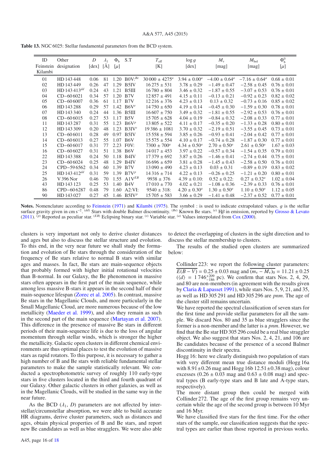| Table 13. NGC 6025: Stellar fundamental parameters from the BCD system. |  |
|-------------------------------------------------------------------------|--|
|-------------------------------------------------------------------------|--|

| ID<br>Feinstein<br>Kilambi | Other<br>designation     | D<br>[dex] | $\lambda_1$<br>$[\AA]$ | $\Phi_{\rm b}$<br>$[\mu]$ | S.T               | $T_{\rm eff}$<br>[K]     | $\log g$<br>[dex] | $M_{\rm v}$<br>[mag]     | $M_{\rm bol}$<br>[mag]   | $\Phi_{\rm b}^0$<br>$[\mu]$ |
|----------------------------|--------------------------|------------|------------------------|---------------------------|-------------------|--------------------------|-------------------|--------------------------|--------------------------|-----------------------------|
| 01                         | HD 143 448               | 0.06       | 81                     | 1.20                      | $\rm BOV:^{Be}$   | $30000 \pm 4275^{\circ}$ | $3.94 \pm 0.00^a$ | $-4.00 \pm 0.64^{\circ}$ | $-7.16 \pm 0.64^{\circ}$ | $0.68 \pm 0.01$             |
| 02                         | HD 143 449               | 0.26       | 47                     | 1.29                      | B5IV              | $16275 \pm 531$          | $3.78 \pm 0.29$   | $-1.49 \pm 0.47$         | $-2.58 \pm 0.45$         | $0.76 \pm 0.01$             |
| 03                         | HD 143 413 <sup>dd</sup> | 0.24       | 43                     | 1.21                      | B5III             | $16780 \pm 804$          | $3.46 \pm 0.32$   | $-1.87 \pm 0.55$         | $-3.07 \pm 0.53$         | $0.76 \pm 0.01$             |
| 04                         | $CD - 606021$            | 0.34       | 57                     |                           | 1.20 B7V          | $12857 \pm 491$          | $4.15 \pm 0.11$   | $-0.13 \pm 0.21$         | $-0.92 \pm 0.23$         | $0.82 \pm 0.02$             |
| 05                         | $CD - 606007$            | 0.36       | 61                     | 1.17                      | B <sub>7V</sub>   | $12216 \pm 376$          | $4.23 \pm 0.13$   | $0.13 \pm 0.32$          | $-0.73 \pm 0.16$         | $0.85 \pm 0.02$             |
| 06                         | HD 143 288               | 0.29       | 57                     |                           | 1.42 $B6V^e$      | $14750 \pm 650$          | $4.19 \pm 0.14$   | $-0.45 \pm 0.30$         | $-1.59 \pm 0.30$         | $0.78 \pm 0.01$             |
| 07                         | HD 143 340               | 0.24       | 44                     |                           | 1.36 B5III        | $16607 \pm 750$          | $3.49 \pm 0.32$   | $-1.81 \pm 0.55$         | $-2.92 \pm 0.53$         | $0.76 \pm 0.01$             |
| 08                         | $CD - 606015$            | 0.27       | 53                     | 1.17                      | B5V               | $15705 \pm 628$          | $4.04 \pm 0.19$   | $-0.84 \pm 0.32$         | $-2.08 \pm 0.33$         | $0.77 \pm 0.01$             |
| 11                         | HD 143 287               | 0.31       | 55                     | 1.23                      | $B6V^p$           | $13805 \pm 522$          | $4.11 \pm 0.17$   | $-0.35 \pm 0.20$         | $-1.33 \pm 0.28$         | $0.80 \pm 0.01$             |
| 12                         | HD 143 309               | 0.20       | 48                     | 1.23                      | B3IV <sup>v</sup> | $19386 \pm 1081$         | $3.70 \pm 0.32$   | $-2.19 \pm 0.51$         | $-3.55 \pm 0.45$         | $0.73 \pm 0.01$             |
| 13                         | $CD - 606011$            | 0.28       | 49                     | 0.97                      | B5IV              | $15558 \pm 594$          | $3.85 \pm 0.26$   | $-0.93 \pm 0.41$         | $-2.04 \pm 0.42$         | $0.77 \pm 0.01$             |
| 14                         | $CD - 606013$            | 0.27       | 55                     |                           | 1.07 B6V          | $15575 \pm 554$          | $4.10 \pm 0.17$   | $-0.74 \pm 0.28$         | $-1.87 \pm 0.30$         | $0.77 \pm 0.01$             |
| 15                         | $CD - 606017$            | 0.31       | 77                     | 2.23                      | FOV:              | $7300\pm700^a$           | $4.34 \pm 0.50^a$ | $2.70 \pm 0.50^a$        | $2.61 \pm 0.50^a$        | $1.67 \pm 0.03$             |
| 16                         | $CD - 606027$            | 0.31       | 51                     | 1.38                      | B6V               | $14017 \pm 453$          | $3.97 \pm 0.22$   | $-0.57 \pm 0.34$         | $-1.54 \pm 0.35$         | $0.79 \pm 0.01$             |
| 22                         | HD 143 388               | 0.24       | 50                     | 1.18                      | B <sub>4</sub> IV | $17379 \pm 692$          | $3.87 \pm 0.26$   | $-1.46 \pm 0.41$         | $-2.74 \pm 0.44$         | $0.75 \pm 0.01$             |
| 23                         | CD-606024                | 0.25       | 48                     | 1.29                      | B <sub>4</sub> IV | $16696 \pm 659$          | $3.81 \pm 0.28$   | $-1.45 \pm 0.43$         | $-2.58 \pm 0.50$         | $0.76 \pm 0.01$             |
| 24                         | CPD-596562               | 0.34       | 60                     | 1.39                      | B7V               | $13090 \pm 490$          | $4.23 \pm 0.13$   | $0.03 \pm 0.31$          | $-0.89 \pm 0.19$         | $0.83 \pm 0.02$             |
| 25                         | HD 143 412 <sup>dd</sup> | 0.31       | 59                     |                           | 1.39 $B7V^p$      | $14316 \pm 714$          | $4.22 \pm 0.13$   | $-0.26 \pm 0.25$         | $-1.21 \pm 0.20$         | $0.80 \pm 0.01$             |
| 26                         | V 396 Nor                | 0.46       | 70                     |                           | 1.55 A1 $V^{EB}$  | $9938 \pm 376$           | $4.39 \pm 0.10$ : | $0.52 \pm 0.22$ :        | $0.27 \pm 0.32^{\circ}$  | $1.02 \pm 0.04$             |
| 43                         | HD 143 123               | 0.25       | 53                     |                           | 1.40 B4V          | $17010 \pm 770$          | $4.02 \pm 0.21$   | $-1.08 \pm 0.36$         | $-2.39 \pm 0.33$         | $0.76 \pm 0.01$             |
| 86                         | CPD-606287               | 0.48       | 79                     | 1.60                      | A2:VI:            | $9540 \pm 318$ :         | $4.20 \pm 0.30^a$ | $1.30 \pm 0.50^a$        | $1.10 \pm 0.50^a$        | $1.12 \pm 0.05$             |
| 90                         | HD 143 027               | 0.27       | 45                     |                           | 1.46 $B5IV^p$     | $15705 \pm 583$          | $3.66 \pm 0.29$   | $-1.41 \pm 0.48$         | $-2.37 \pm 0.52$         | $0.77 \pm 0.01$             |

**Notes.** Nomenclature according to Feinstein (1971) and Kilambi (1975). The symbol : is used to indicate extrapolated values.  $q$  is the stellar surface gravity given in cm s<sup>−2</sup>. <sup>(dd)</sup> Stars with double Balmer discontinuity. <sup>(Be)</sup> Known Be stars. <sup>(e)</sup> Hβ in emission, reported by Grosso & Levato (2011). (*p*) Reported as peculiar star. (*EB*) Eclipsing binary star. (v) Variable star. (*a*) Values interpolated from Cox (2000).

clusters is very important not only to derive cluster distances and ages but also to discuss the stellar structure and evolution. To this end, in the very near future we shall study the formation and evolution of Be stars through the consideration of the frequency of Be stars relative to normal B stars with similar ages and masses. In fact, Be stars are main-sequence objects that probably formed with higher initial rotational velocities than B-normal. In our Galaxy, the Be phenomenon in massive stars often appears in the first part of the main sequence, while among less massive B-stars it appears in the second half of their main-sequence lifespan (Zorec et al. 2005). In contrast, massive Be stars in the Magellanic Clouds, and more particularly in the Small Magellanic Cloud, are more numerous because of the low metallicity (Maeder et al. 1999), and also they remain as such in the second part of the main sequence (Martayan et al. 2007). This difference in the presence of massive Be stars in different periods of their main-sequence life is due to the loss of angular momentum through stellar winds, which is stronger the higher the metallicity. Galactic open clusters in different chemical environments are thus optimal places to test the evolution of massive stars as rapid rotators. To this purpose, it is necessary to gather a high number of B and Be stars with reliable fundamental stellar parameters to make the sample statistically relevant. We conducted a spectrophotometric survey of roughly 110 early-type stars in five clusters located in the third and fourth quadrant of our Galaxy. Other galactic clusters in other galaxies, as well as in the Magellanic Clouds, will be studied in the same way in the near future.

As the BCD  $(\lambda_1, D)$  parameters are not affected by interstellar/circumstellar absorption, we were able to build accurate HR diagrams, derive cluster parameters, such as distances and ages, obtain physical properties of B and Be stars, and report new Be candidates as well as blue stragglers. We were also able to detect the overlapping of clusters in the sight direction and to discuss the stellar membership to clusters.

The results of the studied open clusters are summarized below:

Collinder 223: we report the following cluster parameters:  $E(B - V) = 0.25 \pm 0.03$  mag and  $(m_v - M_v)_0 = 11.21 \pm 0.25$ <br>(*(d)* = 1 746<sup>+209</sup> pc). We confirm that stars Nos. 2, 4, 29, <br>and 80 process unkne (in approximately the product since and 80 are non-members (in agreement with the results given by Claria & Lapasset 1991), while stars Nos. 5, 9, 21, and 35, as well as HD 305 291 and HD 305 296 are *pnm*. The age of the cluster still remains uncertain.

We have reported the spectral classification of seven stars for the first time and provide stellar parameters for all the sample. We discard Nos. 80 and 35 as blue stragglers since the former is a non-member and the latter is a *pnm*. However, we find that the Be star HD 305 296 could be a real blue straggler object. We also suggest that stars Nos. 2, 4, 21, and 106 are Be candidates because of the presence of a second Balmer discontinuity in their spectra.

Hogg 16: here we clearly distinguish two population of stars with very different mean true distance moduli (Hogg 16a with  $8.91 \pm 0.26$  mag and Hogg 16b  $12.51 \pm 0.38$  mag), colour excesses  $(0.26 \pm 0.03 \text{ mag and } 0.63 \pm 0.08 \text{ mag})$  and spectral types (B early-type stars and B late and A-type stars, respectively).

The more distant group then could be merged with Collinder 272. The age of the first group remains very uncertain while the age of the second group is between 10 Myr and 16 Myr.

We have classified five stars for the first time. For the other stars of the sample, our classification suggests that the spectral types are earlier than those reported in previous works.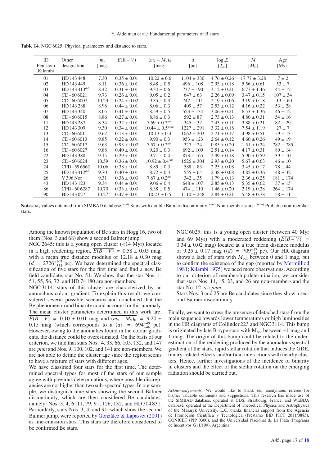**Table 14.** NGC 6025: Physical parameters and distance to stars.

| ID<br>Feinstein<br>Kilambi | Other<br>designation     | $m_{v}$<br>[mag] | $E(B-V)$        | $(m_{v} - M_{v})_{0}$<br>[mag] | $\boldsymbol{d}$<br>[pc] | $\log L$<br>$[\mathcal{L}_\odot]$ | $\boldsymbol{M}$<br>$[M_{\odot}]$ | Age<br>[Myr]  |
|----------------------------|--------------------------|------------------|-----------------|--------------------------------|--------------------------|-----------------------------------|-----------------------------------|---------------|
| 01                         | HD 143448                | 7.30             | $0.35 \pm 0.01$ | $10.22 \pm 0.6$                | $1104 \pm 330$           | $4.76 \pm 0.26$                   | $17.77 \pm 3.28$                  | $7 \pm 2$     |
| 02                         | HD 143 449               | 8.11             | $0.36 \pm 0.01$ | $8.48 \pm 0.5$                 | $496 \pm 108$            | $2.93 \pm 0.18$                   | $5.56 \pm 0.61$                   | $53 \pm 7$    |
| 03                         | HD 143 413 <sup>dd</sup> | 8.42             | $0.31 \pm 0.01$ | $9.34 \pm 0.6$                 | $737 \pm 190$            | $3.12 \pm 0.21$                   | $6.77 \pm 1.46$                   | $44 \pm 12$   |
| 04                         | $CD - 606021$            | 9.73             | $0.26 \pm 0.01$ | $9.05 \pm 0.2$                 | $647 \pm 63$             | $2.26 \pm 0.09$                   | $3.47 \pm 0.15$                   | $107 \pm 34$  |
| 05                         | $CD - 606007$            | 10.23            | $0.24 \pm 0.02$ | $9.35 \pm 0.3$                 | $742 \pm 111$            | $2.19 \pm 0.06$                   | $3.19 \pm 0.18$                   | $113 \pm 60$  |
| 06                         | HD 143 288               | 8.96             | $0.44 \pm 0.01$ | $8.06 \pm 0.3$                 | $409 \pm 57$             | $2.53 \pm 0.12$                   | $4.16 \pm 0.22$                   | $53 \pm 28$   |
| 07                         | HD 143 340               | 8.05             | $0.41 \pm 0.01$ | $8.59 \pm 0.5$                 | $523 \pm 134$            | $3.06 \pm 0.21$                   | $6.53 \pm 1.36$                   | $46 \pm 12$   |
| 08                         | $CD - 606015$            | 8.86             | $0.27 \pm 0.01$ | $8.86 \pm 0.3$                 | $592 \pm 87$             | $2.73 \pm 0.13$                   | $4.80 \pm 0.31$                   | $54 \pm 16$   |
| 11                         | HD 143 287               | 8.34             | $0.32 \pm 0.01$ | $7.69 \pm 0.2^{nm}$            | $345 \pm 32$             | $2.43 \pm 0.11$                   | $3.88 \pm 0.21$                   | $82 \pm 29$   |
| 12                         | HD 143 309               | 9.30             | $0.34 \pm 0.01$ | $10.44 \pm 0.5^{pnm}$          | $1227 \pm 291$           | $3.32 \pm 0.18$                   | $7.54 \pm 1.19$                   | $27 \pm 7$    |
| 13                         | $CD - 606011$            | 9.62             | $0.13 \pm 0.01$ | $10.13 \pm 0.4$                | $1062 \pm 203$           | $2.71 \pm 0.17$                   | $4.98 \pm 0.51$                   | $59 \pm 13$   |
| 14                         | $CD - 606013$            | 9.85             | $0.22 \pm 0.01$ | $9.90 \pm 0.3$                 | $953 \pm 123$            | $2.64 \pm 0.12$                   | $4.60 \pm 0.26$                   | $49 \pm 19$   |
| 15                         | $CD - 606017$            | 9.63             | $0.93 \pm 0.02$ | $7.57 \pm 0.2^{nm}$            | $327 \pm 24$             | $0.85 \pm 0.20$                   | $1.51 \pm 0.24$                   | $782 \pm 785$ |
| 16                         | $CD - 606027$            | 9.88             | $0.40 \pm 0.01$ | $9.20 \pm 0.3$                 | $692 \pm 109$            | $2.51 \pm 0.14$                   | $4.17 \pm 0.31$                   | $89 \pm 14$   |
| 22                         | HD 143 388               | 9.15             | $0.29 \pm 0.01$ | $9.71 \pm 0.4$                 | $873 \pm 165$            | $2.99 \pm 0.18$                   | $5.90 \pm 0.59$                   | $39 \pm 10$   |
| 23                         | $CD - 606024$            | 10.59            | $0.36 \pm 0.01$ | $10.92 \pm 0.4^{nm}$           | $1526 \pm 304$           | $2.93 \pm 0.20$                   | $5.67 \pm 0.63$                   | $46 \pm 10$   |
| 24                         | CPD-596562               | 10.06            | $0.38 \pm 0.01$ | $8.85 \pm 0.3$                 | $588 \pm 83$             | $2.25 \pm 0.08$                   | $3.45 \pm 0.17$                   | $78 \pm 44$   |
| 25                         | HD 143 412 <sup>dd</sup> | 9.70             | $0.40 \pm 0.01$ | $8.72 \pm 0.3$                 | $555 \pm 64$             | $2.38 \pm 0.08$                   | $3.85 \pm 0.36$                   | $48 \pm 32$   |
| 26                         | V 396 Nor                | 9.31             | $0.36 \pm 0.03$ | $7.67 \pm 0.2^{nm}$            | $342 \pm 35$             | $1.79 \pm 0.13$                   | $2.36 \pm 0.25$                   | $181 \pm 174$ |
| 43                         | HD 143 123               | 9.34             | $0.44 \pm 0.01$ | $9.06 \pm 0.4$                 | $648 \pm 107$            | $2.85 \pm 0.13$                   | $5.35 \pm 0.62$                   | $37 \pm 15$   |
| 86                         | CPD-606287               | 10.70            | $0.33 \pm 0.03$ | $8.38 \pm 0.5$                 | $474 \pm 110$            | $1.46 \pm 0.20$                   | $2.19 \pm 0.28$                   | $264 \pm 174$ |
| 90                         | HD 143 027               | 10.27            | $0.47 \pm 0.01$ | $10.23 \pm 0.5$                | $1110 \pm 248$           | $2.84 \pm 0.21$                   | $5.48 \pm 0.78$                   | $58 \pm 11$   |

Notes.  $m_v$  values obtained from SIMBAD database. (*dd*) Stars with double Balmer discontinuity. (*nm*) Non-member stars. (*pnm*) Probable non-member stars.

Among the known population of Be stars in Hogg 16, two of them (Nos. 3 and 68) show a second Balmer jump.

NGC 2645: this is a young open cluster (<14 Myr) located in a high reddening region,  $\overline{E(B-V)} = 0.58 \pm 0.05$  mag, with a mean true distance modulus of 12.18 ± 0.30 mag with a mean true distance modulus of  $12.18 \pm 0.30$  mag<br>(*d* = 2726<sup>+407</sup> pc). We have determined the spectral clas-<br>*i*f satisfaction  $\frac{354}{9}$  pc than for the first time and find a name Da sification of five stars for the first time and find a new Be field candidate, star No. 51. We show that the star Nos. 1, 51, 55, 56, 72, and HD 74 180 are non-members.

NGC 3114: stars of this cluster are characterized by an anomalous colour gradient. To explain this result, we considered several possible scenarios and concluded that the Be phenomenon and binarity could account for this anomaly. The mean cluster parameters determined in this work are:  $E(B - V) = 0.10 \pm 0.01$  mag and  $(m_v - M_v)_0 = 9.20 \pm 0.15$  mag (which corresponds to a  $(d) = 694^{+49}$  pc) 0.15 mag (which corresponds to a  $\langle d \rangle = 694^{+49}_{-46}$  pc).<br>However owing to the anomalies found in the colour gradi-However, owing to the anomalies found in the colour gradients, the distance could be overestimated. On the basis of our criterion, we find that stars Nos. 4, 33, 66, 105, 132, and 147 are *pnm* and Nos. 9, 100, 102, and 141 are non-members. We are not able to define the cluster age since the region seems to have a mixture of stars with different ages.

We have classified four stars for the first time. The determined spectral types for most of the stars of our sample agree with previous determinations, where possible discrepancies are not higher than two sub-spectral types. In our sample, we distinguish nine stars showing the second Balmer discontinuity, which are then considered Be candidates, namely: Nos. 3, 4, 6, 11, 79, 91, 126, 132, and HD 304 831. Particularly, stars Nos. 3, 4, and 91, which show the second Balmer jump, were reported by González & Lapasset (2001) as line-emission stars. This stars are therefore considered to be confirmed Be stars.

NGC 6025: this is a young open cluster (between 40 Myr and 69 Myr) with a moderated reddening  $(\overline{E(B - V)} = 0.34 \pm 0.02$  mag) located at a true mean distance modulus  $0.34 \pm 0.02$  mag) located at a true mean distance modulus<br>of 9.25 + 0.17 mag  $((d) = 709^{+57}$  pc) Our HR diagram of  $9.25 \pm 0.17$  mag ( $\langle d \rangle = 709^{+57}_{-53}$  pc). Our HR diagram<br>shows a lack of stars with  $M_{\text{bol}}$  between 0 and 1 mag but shows a lack of stars with  $M_{bol}$  between 0 and 1 mag, but to confirm the existence of the gap (reported by Mermilliod 1981; Kilambi 1975) we need more observations. According to our criterion of membership determination, we consider that stars Nos. 11, 15, 23, and 26 are non-members and the star No. 12 is a *pnm*.

Stars Nos. 3 and 25 are Be candidates since they show a second Balmer discontinuity.

Finally, we want to stress the presence of detached stars from the main sequence towards lower temperatures or high luminosities in the HR diagrams of Collinder 223 and NGC 3114. This bump is originated by late B-type stars with  $M_{bol}$  between  $-1$  mag and 1 mag. The origin of this bump could be related to the underestimation of the reddening produced by the anomalous spectral gradient of the stars, rapid stellar rotation that induces the GDE, binary-related effects, and/or tidal interactions with nearby clusters. Hence, further investigations of the incidence of binarity in clusters and the effect of the stellar rotation on the emerging radiation should be carried out.

*Acknowledgements.* We would like to thank our anonymous referee for his/her valuable comments and suggestions. This research has made use of the SIMBAD database, operated at CDS, Strasbourg, France, and WEBDA database, operated at the Department of Theoretical Physics and Astrophysics of the Masaryk University. L.C. thanks financial support from the Agencia de Promoción Científica y Tecnológica (Préstamo BID PICT 2011/0885), CONICET (PIP 0300), and the Universidad Nacional de La Plata (Programa de Incentivos G11/109), Argentina.